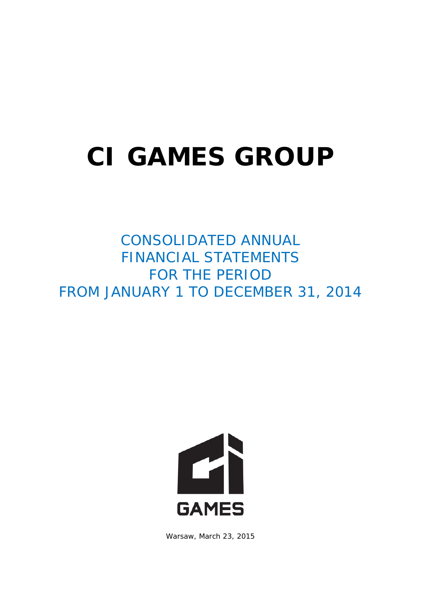## **CI GAMES GROUP**

CONSOLIDATED ANNUAL FINANCIAL STATEMENTS FOR THE PERIOD FROM JANUARY 1 TO DECEMBER 31, 2014



Warsaw, March 23, 2015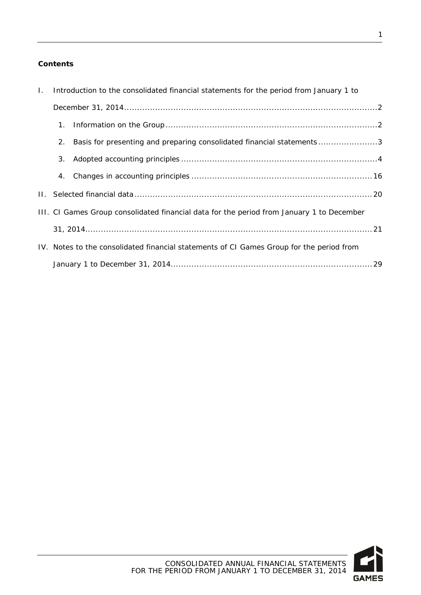#### **Contents**

| $\mathbf{L}$ | Introduction to the consolidated financial statements for the period from January 1 to |                                                                                           |  |
|--------------|----------------------------------------------------------------------------------------|-------------------------------------------------------------------------------------------|--|
|              |                                                                                        |                                                                                           |  |
|              | 1.                                                                                     |                                                                                           |  |
|              | 2.                                                                                     | Basis for presenting and preparing consolidated financial statements3                     |  |
|              | 3.                                                                                     |                                                                                           |  |
|              | 4.                                                                                     |                                                                                           |  |
|              |                                                                                        |                                                                                           |  |
|              |                                                                                        | III. CI Games Group consolidated financial data for the period from January 1 to December |  |
|              |                                                                                        |                                                                                           |  |
|              |                                                                                        | IV. Notes to the consolidated financial statements of CI Games Group for the period from  |  |
|              |                                                                                        |                                                                                           |  |

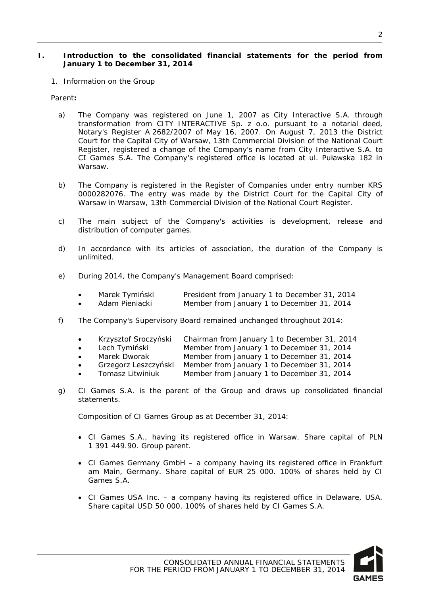#### <span id="page-2-0"></span>**I. Introduction to the consolidated financial statements for the period from January 1 to December 31, 2014**

<span id="page-2-1"></span>1. Information on the Group

Parent**:**

- a) The Company was registered on June 1, 2007 as City Interactive S.A. through transformation from CITY INTERACTIVE Sp. z o.o. pursuant to a notarial deed, Notary's Register A 2682/2007 of May 16, 2007. On August 7, 2013 the District Court for the Capital City of Warsaw, 13th Commercial Division of the National Court Register, registered a change of the Company's name from City Interactive S.A. to CI Games S.A. The Company's registered office is located at ul. Puławska 182 in Warsaw.
- b) The Company is registered in the Register of Companies under entry number KRS 0000282076. The entry was made by the District Court for the Capital City of Warsaw in Warsaw, 13th Commercial Division of the National Court Register.
- c) The main subject of the Company's activities is development, release and distribution of computer games.
- d) In accordance with its articles of association, the duration of the Company is unlimited.
- e) During 2014, the Company's Management Board comprised:
	- Marek Tymiński President from January 1 to December 31, 2014
	- Adam Pieniacki Member from January 1 to December 31, 2014
- f) The Company's Supervisory Board remained unchanged throughout 2014:
	- Krzysztof Sroczyński Chairman from January 1 to December 31, 2014
	- Lech Tymiński Member from January 1 to December 31, 2014
	- Marek Dworak Member from January 1 to December 31, 2014
	- Grzegorz Leszczyński Member from January 1 to December 31, 2014
	- Tomasz Litwiniuk Member from January 1 to December 31, 2014
- g) CI Games S.A. is the parent of the Group and draws up consolidated financial statements.

Composition of CI Games Group as at December 31, 2014:

- CI Games S.A., having its registered office in Warsaw. Share capital of PLN 1 391 449.90. Group parent.
- CI Games Germany GmbH a company having its registered office in Frankfurt am Main, Germany. Share capital of EUR 25 000. 100% of shares held by CI Games S.A.
- CI Games USA Inc. a company having its registered office in Delaware, USA. Share capital USD 50 000. 100% of shares held by CI Games S.A.

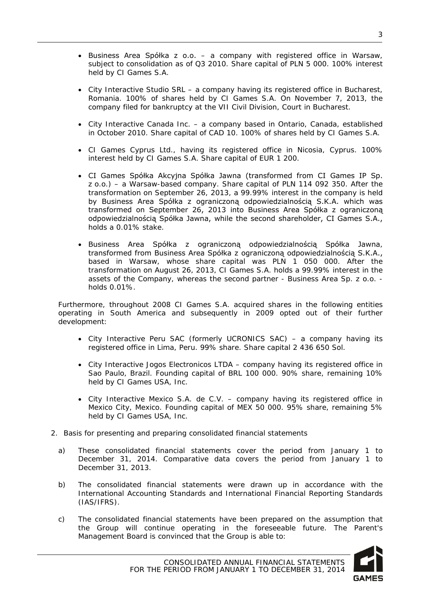- Business Area Spółka z o.o. a company with registered office in Warsaw, subject to consolidation as of Q3 2010. Share capital of PLN 5 000. 100% interest held by CI Games S.A.
- City Interactive Studio SRL a company having its registered office in Bucharest, Romania. 100% of shares held by CI Games S.A. On November 7, 2013, the company filed for bankruptcy at the VII Civil Division, Court in Bucharest.
- City Interactive Canada Inc. a company based in Ontario, Canada, established in October 2010. Share capital of CAD 10. 100% of shares held by CI Games S.A.
- CI Games Cyprus Ltd., having its registered office in Nicosia, Cyprus. 100% interest held by CI Games S.A. Share capital of EUR 1 200.
- CI Games Spółka Akcyjna Spółka Jawna (transformed from CI Games IP Sp. z o.o.) – a Warsaw-based company. Share capital of PLN 114 092 350. After the transformation on September 26, 2013, a 99.99% interest in the company is held by Business Area Spółka z ograniczoną odpowiedzialnością S.K.A. which was transformed on September 26, 2013 into Business Area Spółka z ograniczoną odpowiedzialnością Spółka Jawna, while the second shareholder, CI Games S.A., holds a 0.01% stake.
- Business Area Spółka z ograniczoną odpowiedzialnością Spółka Jawna, transformed from Business Area Spółka z ograniczoną odpowiedzialnością S.K.A., based in Warsaw, whose share capital was PLN 1 050 000. After the transformation on August 26, 2013, CI Games S.A. holds a 99.99% interest in the assets of the Company, whereas the second partner - Business Area Sp. z o.o. holds 0.01%.

Furthermore, throughout 2008 CI Games S.A. acquired shares in the following entities operating in South America and subsequently in 2009 opted out of their further development:

- City Interactive Peru SAC (formerly UCRONICS SAC) a company having its registered office in Lima, Peru. 99% share. Share capital 2 436 650 Sol.
- City Interactive Jogos Electronicos LTDA company having its registered office in Sao Paulo, Brazil. Founding capital of BRL 100 000. 90% share, remaining 10% held by CI Games USA, Inc.
- City Interactive Mexico S.A. de C.V. company having its registered office in Mexico City, Mexico. Founding capital of MEX 50 000. 95% share, remaining 5% held by CI Games USA, Inc.
- <span id="page-3-0"></span>2. Basis for presenting and preparing consolidated financial statements
	- a) These consolidated financial statements cover the period from January 1 to December 31, 2014. Comparative data covers the period from January 1 to December 31, 2013.
	- b) The consolidated financial statements were drawn up in accordance with the International Accounting Standards and International Financial Reporting Standards (IAS/IFRS).
	- c) The consolidated financial statements have been prepared on the assumption that the Group will continue operating in the foreseeable future. The Parent's Management Board is convinced that the Group is able to:

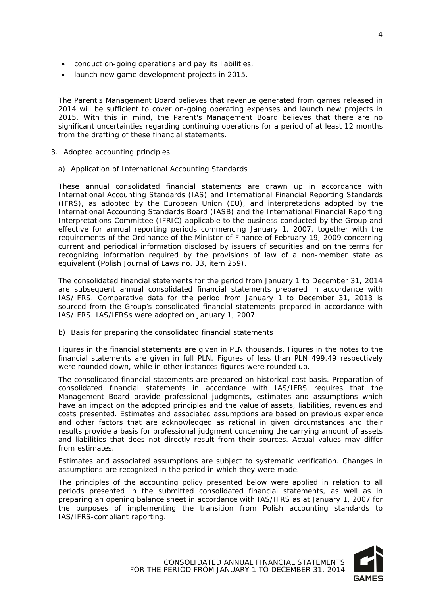- conduct on-going operations and pay its liabilities,
- launch new game development projects in 2015.

The Parent's Management Board believes that revenue generated from games released in 2014 will be sufficient to cover on-going operating expenses and launch new projects in 2015. With this in mind, the Parent's Management Board believes that there are no significant uncertainties regarding continuing operations for a period of at least 12 months from the drafting of these financial statements.

- <span id="page-4-0"></span>3. Adopted accounting principles
	- a) Application of International Accounting Standards

These annual consolidated financial statements are drawn up in accordance with International Accounting Standards (IAS) and International Financial Reporting Standards (IFRS), as adopted by the European Union (EU), and interpretations adopted by the International Accounting Standards Board (IASB) and the International Financial Reporting Interpretations Committee (IFRIC) applicable to the business conducted by the Group and effective for annual reporting periods commencing January 1, 2007, together with the requirements of the Ordinance of the Minister of Finance of February 19, 2009 concerning current and periodical information disclosed by issuers of securities and on the terms for recognizing information required by the provisions of law of a non-member state as equivalent (Polish Journal of Laws no. 33, item 259).

The consolidated financial statements for the period from January 1 to December 31, 2014 are subsequent annual consolidated financial statements prepared in accordance with IAS/IFRS. Comparative data for the period from January 1 to December 31, 2013 is sourced from the Group's consolidated financial statements prepared in accordance with IAS/IFRS. IAS/IFRSs were adopted on January 1, 2007.

b) Basis for preparing the consolidated financial statements

Figures in the financial statements are given in PLN thousands. Figures in the notes to the financial statements are given in full PLN. Figures of less than PLN 499.49 respectively were rounded down, while in other instances figures were rounded up.

The consolidated financial statements are prepared on historical cost basis. Preparation of consolidated financial statements in accordance with IAS/IFRS requires that the Management Board provide professional judgments, estimates and assumptions which have an impact on the adopted principles and the value of assets, liabilities, revenues and costs presented. Estimates and associated assumptions are based on previous experience and other factors that are acknowledged as rational in given circumstances and their results provide a basis for professional judgment concerning the carrying amount of assets and liabilities that does not directly result from their sources. Actual values may differ from estimates.

Estimates and associated assumptions are subject to systematic verification. Changes in assumptions are recognized in the period in which they were made.

The principles of the accounting policy presented below were applied in relation to all periods presented in the submitted consolidated financial statements, as well as in preparing an opening balance sheet in accordance with IAS/IFRS as at January 1, 2007 for the purposes of implementing the transition from Polish accounting standards to IAS/IFRS-compliant reporting.

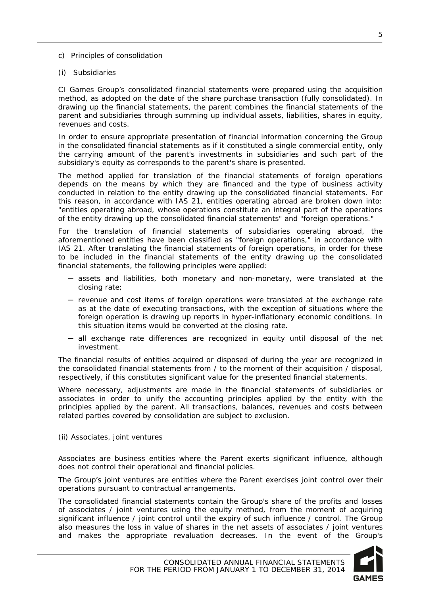- c) Principles of consolidation
- (i) Subsidiaries

CI Games Group's consolidated financial statements were prepared using the acquisition method, as adopted on the date of the share purchase transaction (fully consolidated). In drawing up the financial statements, the parent combines the financial statements of the parent and subsidiaries through summing up individual assets, liabilities, shares in equity, revenues and costs.

In order to ensure appropriate presentation of financial information concerning the Group in the consolidated financial statements as if it constituted a single commercial entity, only the carrying amount of the parent's investments in subsidiaries and such part of the subsidiary's equity as corresponds to the parent's share is presented.

The method applied for translation of the financial statements of foreign operations depends on the means by which they are financed and the type of business activity conducted in relation to the entity drawing up the consolidated financial statements. For this reason, in accordance with IAS 21, entities operating abroad are broken down into: "entities operating abroad, whose operations constitute an integral part of the operations of the entity drawing up the consolidated financial statements" and "foreign operations."

For the translation of financial statements of subsidiaries operating abroad, the aforementioned entities have been classified as "foreign operations," in accordance with IAS 21. After translating the financial statements of foreign operations, in order for these to be included in the financial statements of the entity drawing up the consolidated financial statements, the following principles were applied:

- ─ assets and liabilities, both monetary and non-monetary, were translated at the closing rate;
- ─ revenue and cost items of foreign operations were translated at the exchange rate as at the date of executing transactions, with the exception of situations where the foreign operation is drawing up reports in hyper-inflationary economic conditions. In this situation items would be converted at the closing rate.
- ─ all exchange rate differences are recognized in equity until disposal of the net investment.

The financial results of entities acquired or disposed of during the year are recognized in the consolidated financial statements from / to the moment of their acquisition / disposal, respectively, if this constitutes significant value for the presented financial statements.

Where necessary, adjustments are made in the financial statements of subsidiaries or associates in order to unify the accounting principles applied by the entity with the principles applied by the parent. All transactions, balances, revenues and costs between related parties covered by consolidation are subject to exclusion.

(ii) Associates, joint ventures

Associates are business entities where the Parent exerts significant influence, although does not control their operational and financial policies.

The Group's joint ventures are entities where the Parent exercises joint control over their operations pursuant to contractual arrangements.

The consolidated financial statements contain the Group's share of the profits and losses of associates / joint ventures using the equity method, from the moment of acquiring significant influence / joint control until the expiry of such influence / control. The Group also measures the loss in value of shares in the net assets of associates / joint ventures and makes the appropriate revaluation decreases. In the event of the Group's

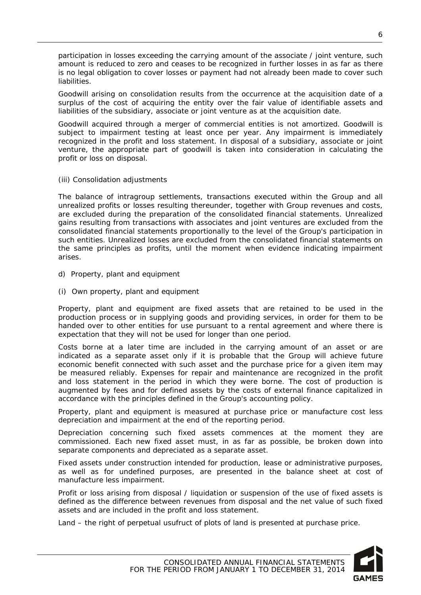participation in losses exceeding the carrying amount of the associate / joint venture, such amount is reduced to zero and ceases to be recognized in further losses in as far as there is no legal obligation to cover losses or payment had not already been made to cover such liabilities.

Goodwill arising on consolidation results from the occurrence at the acquisition date of a surplus of the cost of acquiring the entity over the fair value of identifiable assets and liabilities of the subsidiary, associate or joint venture as at the acquisition date.

Goodwill acquired through a merger of commercial entities is not amortized. Goodwill is subject to impairment testing at least once per year. Any impairment is immediately recognized in the profit and loss statement. In disposal of a subsidiary, associate or joint venture, the appropriate part of goodwill is taken into consideration in calculating the profit or loss on disposal.

(iii) Consolidation adjustments

The balance of intragroup settlements, transactions executed within the Group and all unrealized profits or losses resulting thereunder, together with Group revenues and costs, are excluded during the preparation of the consolidated financial statements. Unrealized gains resulting from transactions with associates and joint ventures are excluded from the consolidated financial statements proportionally to the level of the Group's participation in such entities. Unrealized losses are excluded from the consolidated financial statements on the same principles as profits, until the moment when evidence indicating impairment arises.

- d) Property, plant and equipment
- (i) Own property, plant and equipment

Property, plant and equipment are fixed assets that are retained to be used in the production process or in supplying goods and providing services, in order for them to be handed over to other entities for use pursuant to a rental agreement and where there is expectation that they will not be used for longer than one period.

Costs borne at a later time are included in the carrying amount of an asset or are indicated as a separate asset only if it is probable that the Group will achieve future economic benefit connected with such asset and the purchase price for a given item may be measured reliably. Expenses for repair and maintenance are recognized in the profit and loss statement in the period in which they were borne. The cost of production is augmented by fees and for defined assets by the costs of external finance capitalized in accordance with the principles defined in the Group's accounting policy.

Property, plant and equipment is measured at purchase price or manufacture cost less depreciation and impairment at the end of the reporting period.

Depreciation concerning such fixed assets commences at the moment they are commissioned. Each new fixed asset must, in as far as possible, be broken down into separate components and depreciated as a separate asset.

Fixed assets under construction intended for production, lease or administrative purposes, as well as for undefined purposes, are presented in the balance sheet at cost of manufacture less impairment.

Profit or loss arising from disposal / liquidation or suspension of the use of fixed assets is defined as the difference between revenues from disposal and the net value of such fixed assets and are included in the profit and loss statement.

Land – the right of perpetual usufruct of plots of land is presented at purchase price.

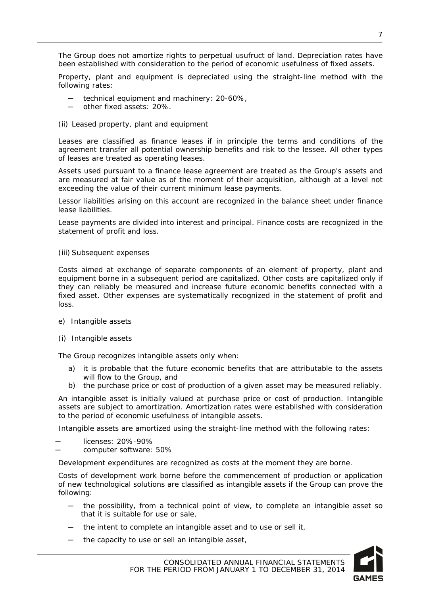The Group does not amortize rights to perpetual usufruct of land. Depreciation rates have been established with consideration to the period of economic usefulness of fixed assets.

Property, plant and equipment is depreciated using the straight-line method with the following rates:

- technical equipment and machinery: 20-60%,
- other fixed assets: 20%.
- (ii) Leased property, plant and equipment

Leases are classified as finance leases if in principle the terms and conditions of the agreement transfer all potential ownership benefits and risk to the lessee. All other types of leases are treated as operating leases.

Assets used pursuant to a finance lease agreement are treated as the Group's assets and are measured at fair value as of the moment of their acquisition, although at a level not exceeding the value of their current minimum lease payments.

Lessor liabilities arising on this account are recognized in the balance sheet under finance lease liabilities.

Lease payments are divided into interest and principal. Finance costs are recognized in the statement of profit and loss.

#### (iii) Subsequent expenses

Costs aimed at exchange of separate components of an element of property, plant and equipment borne in a subsequent period are capitalized. Other costs are capitalized only if they can reliably be measured and increase future economic benefits connected with a fixed asset. Other expenses are systematically recognized in the statement of profit and loss.

- e) Intangible assets
- (i) Intangible assets

The Group recognizes intangible assets only when:

- a) it is probable that the future economic benefits that are attributable to the assets will flow to the Group, and
- b) the purchase price or cost of production of a given asset may be measured reliably.

An intangible asset is initially valued at purchase price or cost of production. Intangible assets are subject to amortization. Amortization rates were established with consideration to the period of economic usefulness of intangible assets.

Intangible assets are amortized using the straight-line method with the following rates:

─ licenses: 20%-90%

computer software: 50%

Development expenditures are recognized as costs at the moment they are borne.

Costs of development work borne before the commencement of production or application of new technological solutions are classified as intangible assets if the Group can prove the following:

- the possibility, from a technical point of view, to complete an intangible asset so that it is suitable for use or sale,
- ─ the intent to complete an intangible asset and to use or sell it,
- the capacity to use or sell an intangible asset,

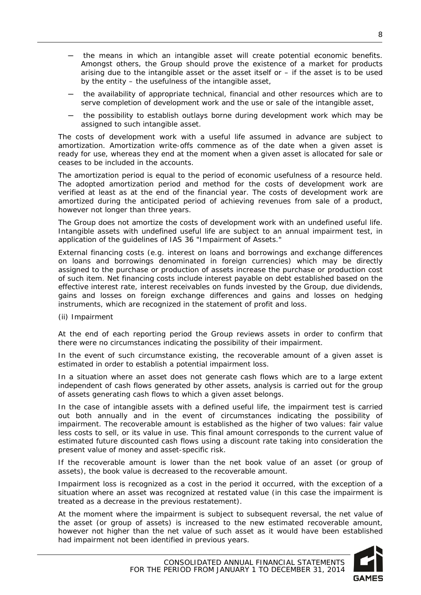- ─ the means in which an intangible asset will create potential economic benefits. Amongst others, the Group should prove the existence of a market for products arising due to the intangible asset or the asset itself or  $-$  if the asset is to be used by the entity – the usefulness of the intangible asset,
- the availability of appropriate technical, financial and other resources which are to serve completion of development work and the use or sale of the intangible asset,
- the possibility to establish outlays borne during development work which may be assigned to such intangible asset.

The costs of development work with a useful life assumed in advance are subject to amortization. Amortization write-offs commence as of the date when a given asset is ready for use, whereas they end at the moment when a given asset is allocated for sale or ceases to be included in the accounts.

The amortization period is equal to the period of economic usefulness of a resource held. The adopted amortization period and method for the costs of development work are verified at least as at the end of the financial year. The costs of development work are amortized during the anticipated period of achieving revenues from sale of a product, however not longer than three years.

The Group does not amortize the costs of development work with an undefined useful life. Intangible assets with undefined useful life are subject to an annual impairment test, in application of the guidelines of IAS 36 "Impairment of Assets."

External financing costs (e.g. interest on loans and borrowings and exchange differences on loans and borrowings denominated in foreign currencies) which may be directly assigned to the purchase or production of assets increase the purchase or production cost of such item. Net financing costs include interest payable on debt established based on the effective interest rate, interest receivables on funds invested by the Group, due dividends, gains and losses on foreign exchange differences and gains and losses on hedging instruments, which are recognized in the statement of profit and loss.

(ii) Impairment

At the end of each reporting period the Group reviews assets in order to confirm that there were no circumstances indicating the possibility of their impairment.

In the event of such circumstance existing, the recoverable amount of a given asset is estimated in order to establish a potential impairment loss.

In a situation where an asset does not generate cash flows which are to a large extent independent of cash flows generated by other assets, analysis is carried out for the group of assets generating cash flows to which a given asset belongs.

In the case of intangible assets with a defined useful life, the impairment test is carried out both annually and in the event of circumstances indicating the possibility of impairment. The recoverable amount is established as the higher of two values: fair value less costs to sell, or its value in use. This final amount corresponds to the current value of estimated future discounted cash flows using a discount rate taking into consideration the present value of money and asset-specific risk.

If the recoverable amount is lower than the net book value of an asset (or group of assets), the book value is decreased to the recoverable amount.

Impairment loss is recognized as a cost in the period it occurred, with the exception of a situation where an asset was recognized at restated value (in this case the impairment is treated as a decrease in the previous restatement).

At the moment where the impairment is subject to subsequent reversal, the net value of the asset (or group of assets) is increased to the new estimated recoverable amount, however not higher than the net value of such asset as it would have been established had impairment not been identified in previous years.

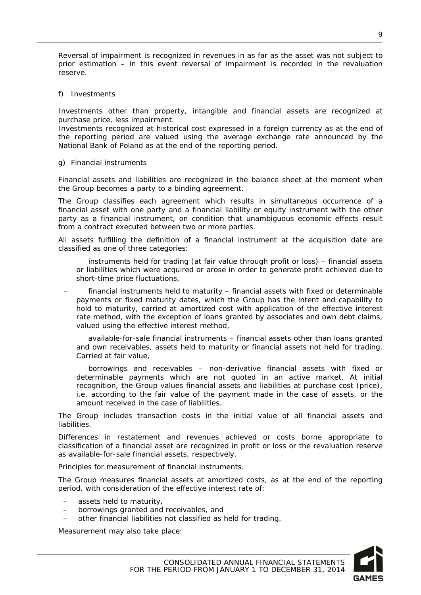Reversal of impairment is recognized in revenues in as far as the asset was not subject to prior estimation – in this event reversal of impairment is recorded in the revaluation reserve.

f) Investments

Investments other than property, intangible and financial assets are recognized at purchase price, less impairment.

Investments recognized at historical cost expressed in a foreign currency as at the end of the reporting period are valued using the average exchange rate announced by the National Bank of Poland as at the end of the reporting period.

g) Financial instruments

Financial assets and liabilities are recognized in the balance sheet at the moment when the Group becomes a party to a binding agreement.

The Group classifies each agreement which results in simultaneous occurrence of a financial asset with one party and a financial liability or equity instrument with the other party as a financial instrument, on condition that unambiguous economic effects result from a contract executed between two or more parties.

All assets fulfilling the definition of a financial instrument at the acquisition date are classified as one of three categories:

- − instruments held for trading (at fair value through profit or loss) financial assets or liabilities which were acquired or arose in order to generate profit achieved due to short-time price fluctuations,
- financial instruments held to maturity financial assets with fixed or determinable payments or fixed maturity dates, which the Group has the intent and capability to hold to maturity, carried at amortized cost with application of the effective interest rate method, with the exception of loans granted by associates and own debt claims, valued using the effective interest method,
- − available-for-sale financial instruments financial assets other than loans granted and own receivables, assets held to maturity or financial assets not held for trading. Carried at fair value,
- borrowings and receivables non-derivative financial assets with fixed or determinable payments which are not quoted in an active market. At initial recognition, the Group values financial assets and liabilities at purchase cost (price), i.e. according to the fair value of the payment made in the case of assets, or the amount received in the case of liabilities.

The Group includes transaction costs in the initial value of all financial assets and liabilities.

Differences in restatement and revenues achieved or costs borne appropriate to classification of a financial asset are recognized in profit or loss or the revaluation reserve as available-for-sale financial assets, respectively.

Principles for measurement of financial instruments.

The Group measures financial assets at amortized costs, as at the end of the reporting period, with consideration of the effective interest rate of:

- assets held to maturity,
- borrowings granted and receivables, and
- other financial liabilities not classified as held for trading.

Measurement may also take place: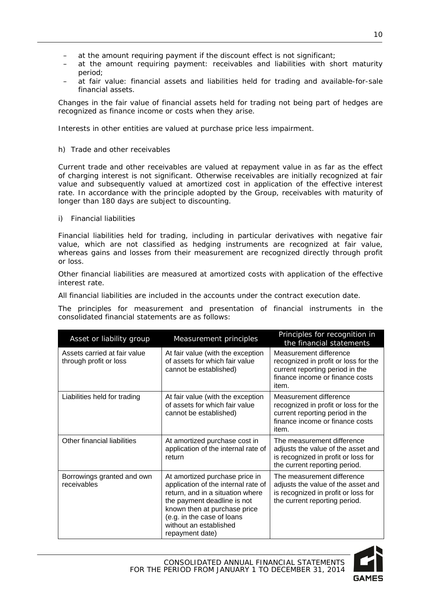- at the amount requiring payment if the discount effect is not significant;
- at the amount requiring payment: receivables and liabilities with short maturity period;
- at fair value: financial assets and liabilities held for trading and available-for-sale financial assets.

Changes in the fair value of financial assets held for trading not being part of hedges are recognized as finance income or costs when they arise.

Interests in other entities are valued at purchase price less impairment.

h) Trade and other receivables

Current trade and other receivables are valued at repayment value in as far as the effect of charging interest is not significant. Otherwise receivables are initially recognized at fair value and subsequently valued at amortized cost in application of the effective interest rate. In accordance with the principle adopted by the Group, receivables with maturity of longer than 180 days are subject to discounting.

i) Financial liabilities

Financial liabilities held for trading, including in particular derivatives with negative fair value, which are not classified as hedging instruments are recognized at fair value, whereas gains and losses from their measurement are recognized directly through profit or loss.

Other financial liabilities are measured at amortized costs with application of the effective interest rate.

All financial liabilities are included in the accounts under the contract execution date.

The principles for measurement and presentation of financial instruments in the consolidated financial statements are as follows:

| Asset or liability group                               | Measurement principles                                                                                                                                                                                                                              | Principles for recognition in<br>the financial statements                                                                                     |
|--------------------------------------------------------|-----------------------------------------------------------------------------------------------------------------------------------------------------------------------------------------------------------------------------------------------------|-----------------------------------------------------------------------------------------------------------------------------------------------|
| Assets carried at fair value<br>through profit or loss | At fair value (with the exception<br>of assets for which fair value<br>cannot be established)                                                                                                                                                       | Measurement difference<br>recognized in profit or loss for the<br>current reporting period in the<br>finance income or finance costs<br>item. |
| Liabilities held for trading                           | At fair value (with the exception<br>of assets for which fair value<br>cannot be established)                                                                                                                                                       | Measurement difference<br>recognized in profit or loss for the<br>current reporting period in the<br>finance income or finance costs<br>item. |
| Other financial liabilities                            | At amortized purchase cost in<br>application of the internal rate of<br>return                                                                                                                                                                      | The measurement difference<br>adjusts the value of the asset and<br>is recognized in profit or loss for<br>the current reporting period.      |
| Borrowings granted and own<br>receivables              | At amortized purchase price in<br>application of the internal rate of<br>return, and in a situation where<br>the payment deadline is not<br>known then at purchase price<br>(e.g. in the case of loans<br>without an established<br>repayment date) | The measurement difference<br>adjusts the value of the asset and<br>is recognized in profit or loss for<br>the current reporting period.      |

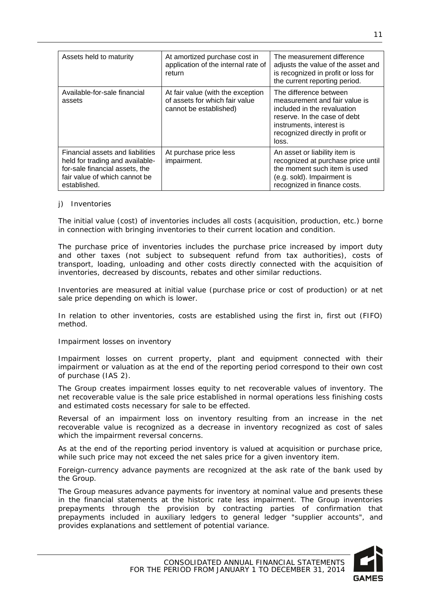| Assets held to maturity                                                                                                                                | At amortized purchase cost in<br>application of the internal rate of<br>return                | The measurement difference<br>adjusts the value of the asset and<br>is recognized in profit or loss for<br>the current reporting period.                                                        |  |  |  |  |
|--------------------------------------------------------------------------------------------------------------------------------------------------------|-----------------------------------------------------------------------------------------------|-------------------------------------------------------------------------------------------------------------------------------------------------------------------------------------------------|--|--|--|--|
| Available-for-sale financial<br>assets                                                                                                                 | At fair value (with the exception<br>of assets for which fair value<br>cannot be established) | The difference between<br>measurement and fair value is<br>included in the revaluation<br>reserve. In the case of debt<br>instruments, interest is<br>recognized directly in profit or<br>loss. |  |  |  |  |
| Financial assets and liabilities<br>held for trading and available-<br>for-sale financial assets, the<br>fair value of which cannot be<br>established. | At purchase price less<br>impairment.                                                         | An asset or liability item is<br>recognized at purchase price until<br>the moment such item is used<br>(e.g. sold). Impairment is<br>recognized in finance costs.                               |  |  |  |  |

#### j) Inventories

The initial value (cost) of inventories includes all costs (acquisition, production, etc.) borne in connection with bringing inventories to their current location and condition.

The purchase price of inventories includes the purchase price increased by import duty and other taxes (not subject to subsequent refund from tax authorities), costs of transport, loading, unloading and other costs directly connected with the acquisition of inventories, decreased by discounts, rebates and other similar reductions.

Inventories are measured at initial value (purchase price or cost of production) or at net sale price depending on which is lower.

In relation to other inventories, costs are established using the first in, first out (FIFO) method.

Impairment losses on inventory

Impairment losses on current property, plant and equipment connected with their impairment or valuation as at the end of the reporting period correspond to their own cost of purchase (IAS 2).

The Group creates impairment losses equity to net recoverable values of inventory. The net recoverable value is the sale price established in normal operations less finishing costs and estimated costs necessary for sale to be effected.

Reversal of an impairment loss on inventory resulting from an increase in the net recoverable value is recognized as a decrease in inventory recognized as cost of sales which the impairment reversal concerns.

As at the end of the reporting period inventory is valued at acquisition or purchase price, while such price may not exceed the net sales price for a given inventory item.

Foreign-currency advance payments are recognized at the ask rate of the bank used by the Group.

The Group measures advance payments for inventory at nominal value and presents these in the financial statements at the historic rate less impairment. The Group inventories prepayments through the provision by contracting parties of confirmation that prepayments included in auxiliary ledgers to general ledger "supplier accounts", and provides explanations and settlement of potential variance.

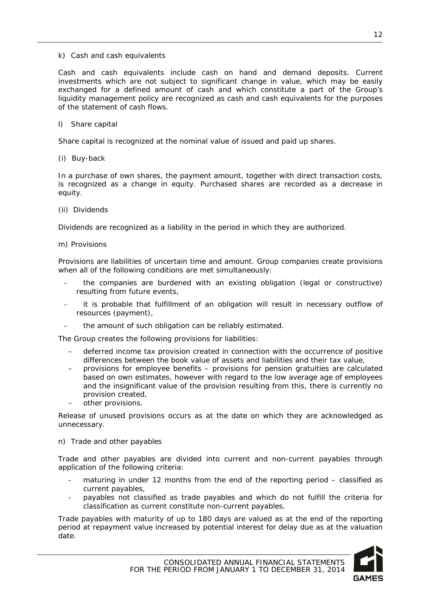k) Cash and cash equivalents

Cash and cash equivalents include cash on hand and demand deposits. Current investments which are not subject to significant change in value, which may be easily exchanged for a defined amount of cash and which constitute a part of the Group's liquidity management policy are recognized as cash and cash equivalents for the purposes of the statement of cash flows.

l) Share capital

Share capital is recognized at the nominal value of issued and paid up shares.

(i) Buy-back

In a purchase of own shares, the payment amount, together with direct transaction costs, is recognized as a change in equity. Purchased shares are recorded as a decrease in equity.

(ii) Dividends

Dividends are recognized as a liability in the period in which they are authorized.

m) Provisions

Provisions are liabilities of uncertain time and amount. Group companies create provisions when all of the following conditions are met simultaneously:

- − the companies are burdened with an existing obligation (legal or constructive) resulting from future events,
- it is probable that fulfillment of an obligation will result in necessary outflow of resources (payment),
- the amount of such obligation can be reliably estimated.

The Group creates the following provisions for liabilities:

- deferred income tax provision created in connection with the occurrence of positive differences between the book value of assets and liabilities and their tax value,
- provisions for employee benefits provisions for pension gratuities are calculated based on own estimates, however with regard to the low average age of employees and the insignificant value of the provision resulting from this, there is currently no provision created,
- other provisions.

Release of unused provisions occurs as at the date on which they are acknowledged as unnecessary.

#### n) Trade and other payables

Trade and other payables are divided into current and non-current payables through application of the following criteria:

- maturing in under 12 months from the end of the reporting period  $-$  classified as current payables,
- payables not classified as trade payables and which do not fulfill the criteria for classification as current constitute non-current payables.

Trade payables with maturity of up to 180 days are valued as at the end of the reporting period at repayment value increased by potential interest for delay due as at the valuation date.

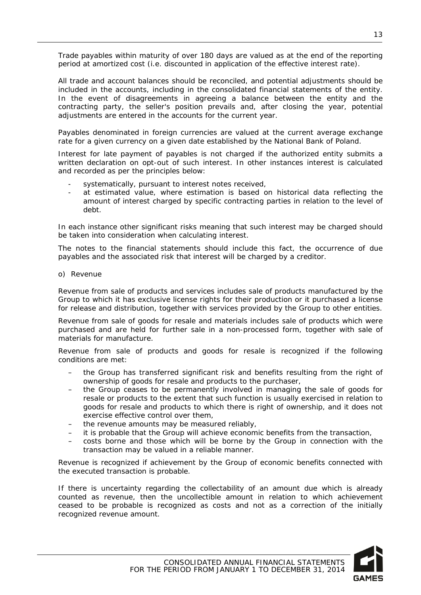Trade payables within maturity of over 180 days are valued as at the end of the reporting period at amortized cost (i.e. discounted in application of the effective interest rate).

All trade and account balances should be reconciled, and potential adjustments should be included in the accounts, including in the consolidated financial statements of the entity. In the event of disagreements in agreeing a balance between the entity and the contracting party, the seller's position prevails and, after closing the year, potential adjustments are entered in the accounts for the current year.

Payables denominated in foreign currencies are valued at the current average exchange rate for a given currency on a given date established by the National Bank of Poland.

Interest for late payment of payables is not charged if the authorized entity submits a written declaration on opt-out of such interest. In other instances interest is calculated and recorded as per the principles below:

- systematically, pursuant to interest notes received,
- at estimated value, where estimation is based on historical data reflecting the amount of interest charged by specific contracting parties in relation to the level of debt.

In each instance other significant risks meaning that such interest may be charged should be taken into consideration when calculating interest.

The notes to the financial statements should include this fact, the occurrence of due payables and the associated risk that interest will be charged by a creditor.

o) Revenue

Revenue from sale of products and services includes sale of products manufactured by the Group to which it has exclusive license rights for their production or it purchased a license for release and distribution, together with services provided by the Group to other entities.

Revenue from sale of goods for resale and materials includes sale of products which were purchased and are held for further sale in a non-processed form, together with sale of materials for manufacture.

Revenue from sale of products and goods for resale is recognized if the following conditions are met:

- the Group has transferred significant risk and benefits resulting from the right of ownership of goods for resale and products to the purchaser,
- the Group ceases to be permanently involved in managing the sale of goods for resale or products to the extent that such function is usually exercised in relation to goods for resale and products to which there is right of ownership, and it does not exercise effective control over them,
- the revenue amounts may be measured reliably,
- it is probable that the Group will achieve economic benefits from the transaction,
- costs borne and those which will be borne by the Group in connection with the transaction may be valued in a reliable manner.

Revenue is recognized if achievement by the Group of economic benefits connected with the executed transaction is probable.

If there is uncertainty regarding the collectability of an amount due which is already counted as revenue, then the uncollectible amount in relation to which achievement ceased to be probable is recognized as costs and not as a correction of the initially recognized revenue amount.

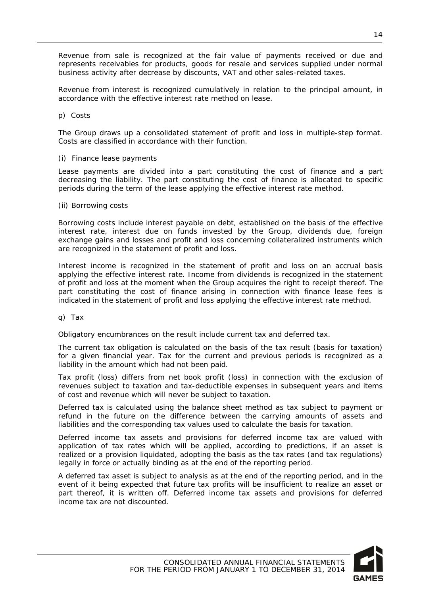Revenue from sale is recognized at the fair value of payments received or due and represents receivables for products, goods for resale and services supplied under normal business activity after decrease by discounts, VAT and other sales-related taxes.

Revenue from interest is recognized cumulatively in relation to the principal amount, in accordance with the effective interest rate method on lease.

p) Costs

The Group draws up a consolidated statement of profit and loss in multiple-step format. Costs are classified in accordance with their function.

#### (i) Finance lease payments

Lease payments are divided into a part constituting the cost of finance and a part decreasing the liability. The part constituting the cost of finance is allocated to specific periods during the term of the lease applying the effective interest rate method.

#### (ii) Borrowing costs

Borrowing costs include interest payable on debt, established on the basis of the effective interest rate, interest due on funds invested by the Group, dividends due, foreign exchange gains and losses and profit and loss concerning collateralized instruments which are recognized in the statement of profit and loss.

Interest income is recognized in the statement of profit and loss on an accrual basis applying the effective interest rate. Income from dividends is recognized in the statement of profit and loss at the moment when the Group acquires the right to receipt thereof. The part constituting the cost of finance arising in connection with finance lease fees is indicated in the statement of profit and loss applying the effective interest rate method.

q) Tax

Obligatory encumbrances on the result include current tax and deferred tax.

The current tax obligation is calculated on the basis of the tax result (basis for taxation) for a given financial year. Tax for the current and previous periods is recognized as a liability in the amount which had not been paid.

Tax profit (loss) differs from net book profit (loss) in connection with the exclusion of revenues subject to taxation and tax-deductible expenses in subsequent years and items of cost and revenue which will never be subject to taxation.

Deferred tax is calculated using the balance sheet method as tax subject to payment or refund in the future on the difference between the carrying amounts of assets and liabilities and the corresponding tax values used to calculate the basis for taxation.

Deferred income tax assets and provisions for deferred income tax are valued with application of tax rates which will be applied, according to predictions, if an asset is realized or a provision liquidated, adopting the basis as the tax rates (and tax regulations) legally in force or actually binding as at the end of the reporting period.

A deferred tax asset is subject to analysis as at the end of the reporting period, and in the event of it being expected that future tax profits will be insufficient to realize an asset or part thereof, it is written off. Deferred income tax assets and provisions for deferred income tax are not discounted.

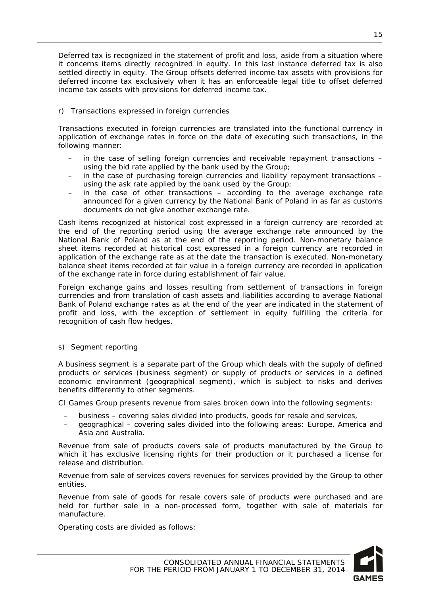Deferred tax is recognized in the statement of profit and loss, aside from a situation where it concerns items directly recognized in equity. In this last instance deferred tax is also settled directly in equity. The Group offsets deferred income tax assets with provisions for deferred income tax exclusively when it has an enforceable legal title to offset deferred income tax assets with provisions for deferred income tax.

#### r) Transactions expressed in foreign currencies

Transactions executed in foreign currencies are translated into the functional currency in application of exchange rates in force on the date of executing such transactions, in the following manner:

- in the case of selling foreign currencies and receivable repayment transactions using the bid rate applied by the bank used by the Group;
- in the case of purchasing foreign currencies and liability repayment transactions using the ask rate applied by the bank used by the Group;
- in the case of other transactions according to the average exchange rate announced for a given currency by the National Bank of Poland in as far as customs documents do not give another exchange rate.

Cash items recognized at historical cost expressed in a foreign currency are recorded at the end of the reporting period using the average exchange rate announced by the National Bank of Poland as at the end of the reporting period. Non-monetary balance sheet items recorded at historical cost expressed in a foreign currency are recorded in application of the exchange rate as at the date the transaction is executed. Non-monetary balance sheet items recorded at fair value in a foreign currency are recorded in application of the exchange rate in force during establishment of fair value.

Foreign exchange gains and losses resulting from settlement of transactions in foreign currencies and from translation of cash assets and liabilities according to average National Bank of Poland exchange rates as at the end of the year are indicated in the statement of profit and loss, with the exception of settlement in equity fulfilling the criteria for recognition of cash flow hedges.

#### s) Segment reporting

A business segment is a separate part of the Group which deals with the supply of defined products or services (business segment) or supply of products or services in a defined economic environment (geographical segment), which is subject to risks and derives benefits differently to other segments.

CI Games Group presents revenue from sales broken down into the following segments:

- business covering sales divided into products, goods for resale and services,
- geographical covering sales divided into the following areas: Europe, America and Asia and Australia.

Revenue from sale of products covers sale of products manufactured by the Group to which it has exclusive licensing rights for their production or it purchased a license for release and distribution.

Revenue from sale of services covers revenues for services provided by the Group to other entities.

Revenue from sale of goods for resale covers sale of products were purchased and are held for further sale in a non-processed form, together with sale of materials for manufacture.

Operating costs are divided as follows:

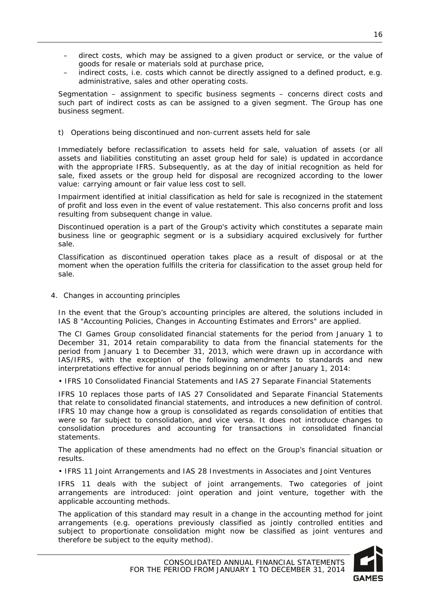- direct costs, which may be assigned to a given product or service, or the value of goods for resale or materials sold at purchase price,
- indirect costs, i.e. costs which cannot be directly assigned to a defined product, e.g. administrative, sales and other operating costs.

Segmentation – assignment to specific business segments – concerns direct costs and such part of indirect costs as can be assigned to a given segment. The Group has one business segment.

#### t) Operations being discontinued and non-current assets held for sale

Immediately before reclassification to assets held for sale, valuation of assets (or all assets and liabilities constituting an asset group held for sale) is updated in accordance with the appropriate IFRS. Subsequently, as at the day of initial recognition as held for sale, fixed assets or the group held for disposal are recognized according to the lower value: carrying amount or fair value less cost to sell.

Impairment identified at initial classification as held for sale is recognized in the statement of profit and loss even in the event of value restatement. This also concerns profit and loss resulting from subsequent change in value.

Discontinued operation is a part of the Group's activity which constitutes a separate main business line or geographic segment or is a subsidiary acquired exclusively for further sale.

Classification as discontinued operation takes place as a result of disposal or at the moment when the operation fulfills the criteria for classification to the asset group held for sale.

<span id="page-16-0"></span>4. Changes in accounting principles

In the event that the Group's accounting principles are altered, the solutions included in IAS 8 "Accounting Policies, Changes in Accounting Estimates and Errors" are applied.

The CI Games Group consolidated financial statements for the period from January 1 to December 31, 2014 retain comparability to data from the financial statements for the period from January 1 to December 31, 2013, which were drawn up in accordance with IAS/IFRS, with the exception of the following amendments to standards and new interpretations effective for annual periods beginning on or after January 1, 2014:

• IFRS 10 Consolidated Financial Statements and IAS 27 Separate Financial Statements

IFRS 10 replaces those parts of IAS 27 Consolidated and Separate Financial Statements that relate to consolidated financial statements, and introduces a new definition of control. IFRS 10 may change how a group is consolidated as regards consolidation of entities that were so far subject to consolidation, and vice versa. It does not introduce changes to consolidation procedures and accounting for transactions in consolidated financial statements.

The application of these amendments had no effect on the Group's financial situation or results.

• IFRS 11 Joint Arrangements and IAS 28 Investments in Associates and Joint Ventures

IFRS 11 deals with the subject of joint arrangements. Two categories of joint arrangements are introduced: joint operation and joint venture, together with the applicable accounting methods.

The application of this standard may result in a change in the accounting method for joint arrangements (e.g. operations previously classified as jointly controlled entities and subject to proportionate consolidation might now be classified as joint ventures and therefore be subject to the equity method).

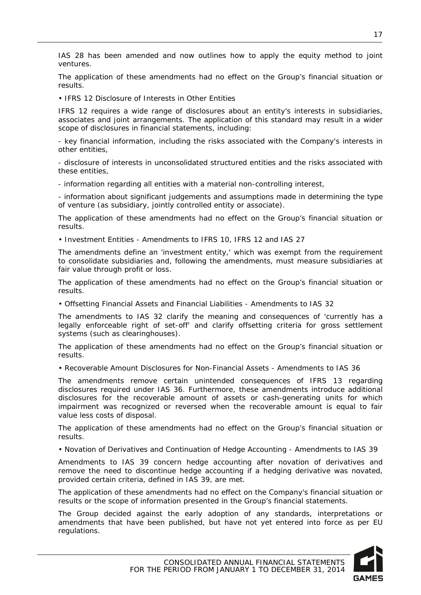IAS 28 has been amended and now outlines how to apply the equity method to joint ventures.

The application of these amendments had no effect on the Group's financial situation or results.

• IFRS 12 Disclosure of Interests in Other Entities

IFRS 12 requires a wide range of disclosures about an entity's interests in subsidiaries, associates and joint arrangements. The application of this standard may result in a wider scope of disclosures in financial statements, including:

- key financial information, including the risks associated with the Company's interests in other entities,

- disclosure of interests in unconsolidated structured entities and the risks associated with these entities,

- information regarding all entities with a material non-controlling interest,

- information about significant judgements and assumptions made in determining the type of venture (as subsidiary, jointly controlled entity or associate).

The application of these amendments had no effect on the Group's financial situation or results.

• Investment Entities - Amendments to IFRS 10, IFRS 12 and IAS 27

The amendments define an 'investment entity,' which was exempt from the requirement to consolidate subsidiaries and, following the amendments, must measure subsidiaries at fair value through profit or loss.

The application of these amendments had no effect on the Group's financial situation or results.

• Offsetting Financial Assets and Financial Liabilities - Amendments to IAS 32

The amendments to IAS 32 clarify the meaning and consequences of 'currently has a legally enforceable right of set-off' and clarify offsetting criteria for gross settlement systems (such as clearinghouses).

The application of these amendments had no effect on the Group's financial situation or results.

• Recoverable Amount Disclosures for Non-Financial Assets - Amendments to IAS 36

The amendments remove certain unintended consequences of IFRS 13 regarding disclosures required under IAS 36. Furthermore, these amendments introduce additional disclosures for the recoverable amount of assets or cash-generating units for which impairment was recognized or reversed when the recoverable amount is equal to fair value less costs of disposal.

The application of these amendments had no effect on the Group's financial situation or results.

• Novation of Derivatives and Continuation of Hedge Accounting - Amendments to IAS 39

Amendments to IAS 39 concern hedge accounting after novation of derivatives and remove the need to discontinue hedge accounting if a hedging derivative was novated, provided certain criteria, defined in IAS 39, are met.

The application of these amendments had no effect on the Company's financial situation or results or the scope of information presented in the Group's financial statements.

The Group decided against the early adoption of any standards, interpretations or amendments that have been published, but have not yet entered into force as per EU regulations.

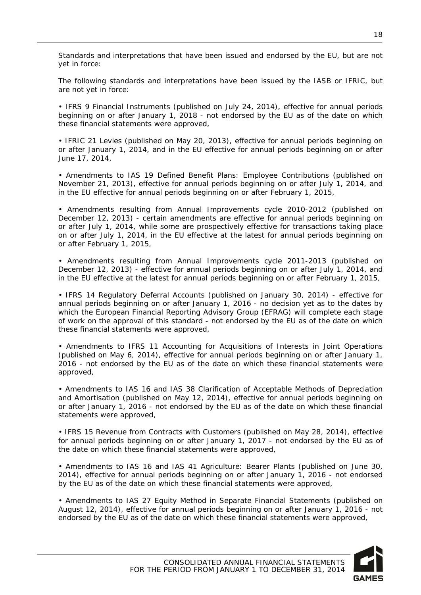Standards and interpretations that have been issued and endorsed by the EU, but are not yet in force:

The following standards and interpretations have been issued by the IASB or IFRIC, but are not yet in force:

• IFRS 9 Financial Instruments (published on July 24, 2014), effective for annual periods beginning on or after January 1, 2018 - not endorsed by the EU as of the date on which these financial statements were approved,

• IFRIC 21 Levies (published on May 20, 2013), effective for annual periods beginning on or after January 1, 2014, and in the EU effective for annual periods beginning on or after June 17, 2014,

• Amendments to IAS 19 Defined Benefit Plans: Employee Contributions (published on November 21, 2013), effective for annual periods beginning on or after July 1, 2014, and in the EU effective for annual periods beginning on or after February 1, 2015,

• Amendments resulting from Annual Improvements cycle 2010-2012 (published on December 12, 2013) - certain amendments are effective for annual periods beginning on or after July 1, 2014, while some are prospectively effective for transactions taking place on or after July 1, 2014, in the EU effective at the latest for annual periods beginning on or after February 1, 2015,

• Amendments resulting from Annual Improvements cycle 2011-2013 (published on December 12, 2013) - effective for annual periods beginning on or after July 1, 2014, and in the EU effective at the latest for annual periods beginning on or after February 1, 2015,

• IFRS 14 Regulatory Deferral Accounts (published on January 30, 2014) - effective for annual periods beginning on or after January 1, 2016 - no decision yet as to the dates by which the European Financial Reporting Advisory Group (EFRAG) will complete each stage of work on the approval of this standard - not endorsed by the EU as of the date on which these financial statements were approved,

• Amendments to IFRS 11 Accounting for Acquisitions of Interests in Joint Operations (published on May 6, 2014), effective for annual periods beginning on or after January 1, 2016 - not endorsed by the EU as of the date on which these financial statements were approved,

• Amendments to IAS 16 and IAS 38 Clarification of Acceptable Methods of Depreciation and Amortisation (published on May 12, 2014), effective for annual periods beginning on or after January 1, 2016 - not endorsed by the EU as of the date on which these financial statements were approved,

• IFRS 15 Revenue from Contracts with Customers (published on May 28, 2014), effective for annual periods beginning on or after January 1, 2017 - not endorsed by the EU as of the date on which these financial statements were approved,

• Amendments to IAS 16 and IAS 41 Agriculture: Bearer Plants (published on June 30, 2014), effective for annual periods beginning on or after January 1, 2016 - not endorsed by the EU as of the date on which these financial statements were approved,

• Amendments to IAS 27 Equity Method in Separate Financial Statements (published on August 12, 2014), effective for annual periods beginning on or after January 1, 2016 - not endorsed by the EU as of the date on which these financial statements were approved,

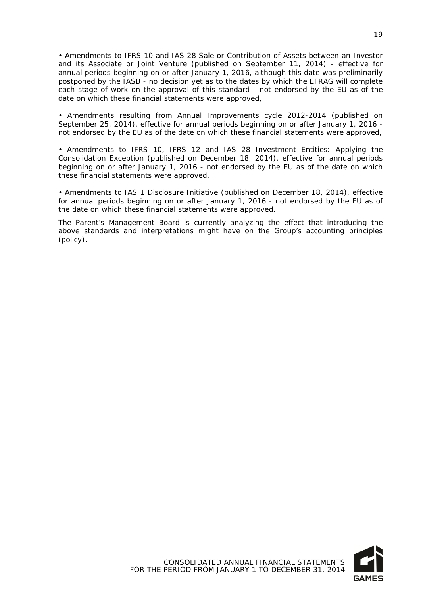• Amendments to IFRS 10 and IAS 28 Sale or Contribution of Assets between an Investor and its Associate or Joint Venture (published on September 11, 2014) - effective for annual periods beginning on or after January 1, 2016, although this date was preliminarily postponed by the IASB - no decision yet as to the dates by which the EFRAG will complete each stage of work on the approval of this standard - not endorsed by the EU as of the date on which these financial statements were approved,

• Amendments resulting from Annual Improvements cycle 2012-2014 (published on September 25, 2014), effective for annual periods beginning on or after January 1, 2016 not endorsed by the EU as of the date on which these financial statements were approved,

• Amendments to IFRS 10, IFRS 12 and IAS 28 Investment Entities: Applying the Consolidation Exception (published on December 18, 2014), effective for annual periods beginning on or after January 1, 2016 - not endorsed by the EU as of the date on which these financial statements were approved,

• Amendments to IAS 1 Disclosure Initiative (published on December 18, 2014), effective for annual periods beginning on or after January 1, 2016 - not endorsed by the EU as of the date on which these financial statements were approved.

The Parent's Management Board is currently analyzing the effect that introducing the above standards and interpretations might have on the Group's accounting principles (policy).



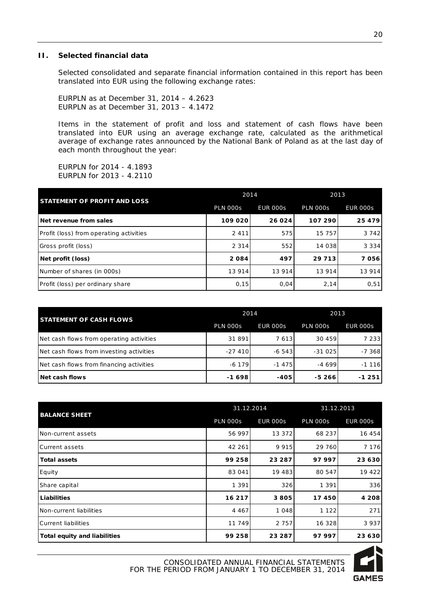#### <span id="page-20-0"></span>**II. Selected financial data**

Selected consolidated and separate financial information contained in this report has been translated into EUR using the following exchange rates:

EURPLN as at December 31, 2014 – 4.2623 EURPLN as at December 31, 2013 – 4.1472

Items in the statement of profit and loss and statement of cash flows have been translated into EUR using an average exchange rate, calculated as the arithmetical average of exchange rates announced by the National Bank of Poland as at the last day of each month throughout the year:

EURPLN for 2014 - 4.1893 EURPLN for 2013 - 4.2110

| <b>STATEMENT OF PROFIT AND LOSS</b>     | 2014            |                 | 2013            |                 |
|-----------------------------------------|-----------------|-----------------|-----------------|-----------------|
|                                         | <b>PLN 000s</b> | <b>EUR 000s</b> | <b>PLN 000s</b> | <b>EUR 000s</b> |
| Net revenue from sales                  | 109 020         | 26 024          | 107 290         | 25 4 7 9        |
| Profit (loss) from operating activities | 2 4 1 1         | 575             | 15 757          | 3 7 4 2         |
| Gross profit (loss)                     | 2 3 1 4         | 552             | 14 038          | 3 3 3 4         |
| Net profit (loss)                       | 2084            | 497             | 29 7 13         | 7056            |
| Number of shares (in 000s)              | 13 914          | 13 9 14         | 13 9 14         | 13 9 14         |
| Profit (loss) per ordinary share        | 0,15            | 0,04            | 2,14            | 0,51            |

| <b>STATEMENT OF CASH FLOWS</b>           | 2014            |                 | 2013            |                 |
|------------------------------------------|-----------------|-----------------|-----------------|-----------------|
|                                          | <b>PLN 000s</b> | <b>EUR 000s</b> | <b>PLN 000s</b> | <b>EUR 000s</b> |
| Net cash flows from operating activities | 31 891          | 7613            | 30 459          | 7 2 3 3         |
| Net cash flows from investing activities | $-27,410$       | $-6.543$        | $-31025$        | $-7.368$        |
| Net cash flows from financing activities | $-6179$         | $-1475$         | $-4699$         | $-1116$         |
| Net cash flows                           | $-1698$         | $-405$          | $-5266$         | $-1251$         |

|                                     | 31.12.2014      |                 | 31.12.2013      |                 |
|-------------------------------------|-----------------|-----------------|-----------------|-----------------|
| <b>BALANCE SHEET</b>                | <b>PLN 000s</b> | <b>EUR 000s</b> | <b>PLN 000s</b> | <b>EUR 000s</b> |
| Non-current assets                  | 56 997          | 13 372          | 68 237          | 16 454          |
| <b>Current assets</b>               | 42 261          | 9 9 1 5         | 29 760          | 7 1 7 6         |
| <b>Total assets</b>                 | 99 258          | 23 287          | 97997           | 23 630          |
| Equity                              | 83 041          | 19 483          | 80 547          | 19 422          |
| Share capital                       | 1 3 9 1         | 326             | 1 3 9 1         | 336             |
| Liabilities                         | 16 217          | 3805            | 17450           | 4 2 0 8         |
| Non-current liabilities             | 4 4 6 7         | 1 0 4 8         | 1 1 2 2         | 271             |
| <b>Current liabilities</b>          | 11 749          | 2 7 5 7         | 16 328          | 3937            |
| <b>Total equity and liabilities</b> | 99 258          | 23 287          | 97997           | 23 630          |

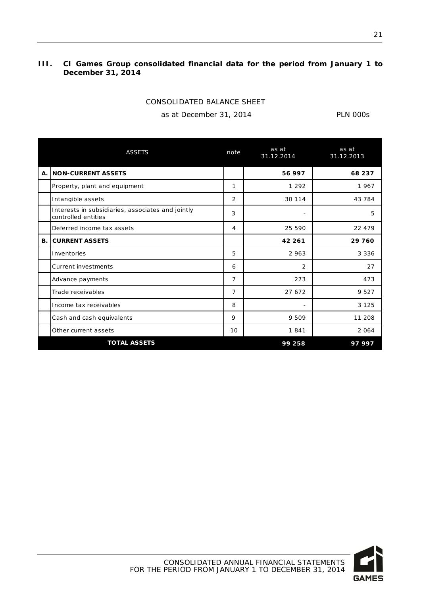#### <span id="page-21-0"></span>**III. CI Games Group consolidated financial data for the period from January 1 to December 31, 2014**

| CONSOLIDATED BALANCE SHEET |  |
|----------------------------|--|
|                            |  |

as at December 31, 2014 PLN 000s

|           | <b>ASSETS</b>                                                            | note            | as at<br>31.12.2014 | as at<br>31.12.2013 |
|-----------|--------------------------------------------------------------------------|-----------------|---------------------|---------------------|
| Α.        | <b>INON-CURRENT ASSETS</b>                                               |                 | 56 997              | 68 237              |
|           | Property, plant and equipment                                            | 1               | 1 2 9 2             | 1967                |
|           | Intangible assets                                                        | 2               | 30 114              | 43 784              |
|           | Interests in subsidiaries, associates and jointly<br>controlled entities | 3               |                     | 5                   |
|           | Deferred income tax assets                                               | 4               | 25 5 9 0            | 22 479              |
| <b>B.</b> | <b>ICURRENT ASSETS</b>                                                   |                 | 42 261              | 29 760              |
|           | Inventories                                                              | 5               | 2963                | 3 3 3 6             |
|           | Current investments                                                      | 6               | $\overline{2}$      | 27                  |
|           | Advance payments                                                         | $\overline{7}$  | 273                 | 473                 |
|           | Trade receivables                                                        | $\overline{7}$  | 27 672              | 9 5 2 7             |
|           | Income tax receivables                                                   | 8               |                     | 3 1 2 5             |
|           | Cash and cash equivalents                                                | 9               | 9 5 0 9             | 11 208              |
|           | Other current assets                                                     | 10 <sup>1</sup> | 1841                | 2 0 6 4             |
|           | <b>TOTAL ASSETS</b>                                                      |                 | 99 258              | 97 997              |

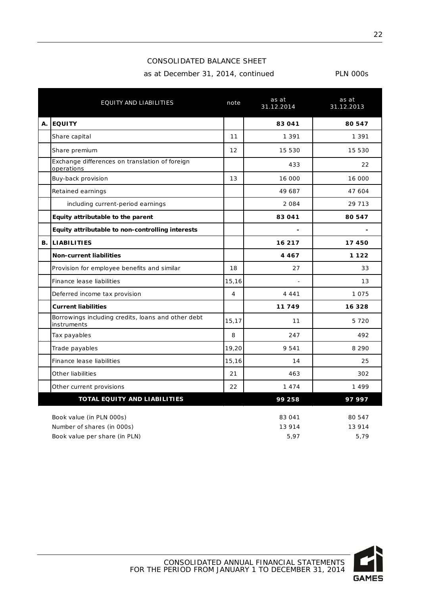#### CONSOLIDATED BALANCE SHEET

as at December 31, 2014, continued PLN 000s

|    | EQUITY AND LIABILITIES                                                                  | note           | as at<br>31.12.2014      | as at<br>31.12.2013       |
|----|-----------------------------------------------------------------------------------------|----------------|--------------------------|---------------------------|
| Α. | <b>EQUITY</b>                                                                           |                | 83 041                   | 80 547                    |
|    | Share capital                                                                           | 11             | 1 3 9 1                  | 1 3 9 1                   |
|    | Share premium                                                                           | 12             | 15 530                   | 15 530                    |
|    | Exchange differences on translation of foreign<br>operations                            |                | 433                      | 22                        |
|    | Buy-back provision                                                                      | 13             | 16 000                   | 16 000                    |
|    | Retained earnings                                                                       |                | 49 687                   | 47 604                    |
|    | including current-period earnings                                                       |                | 2 0 8 4                  | 29 7 13                   |
|    | Equity attributable to the parent                                                       |                | 83 041                   | 80 547                    |
|    | Equity attributable to non-controlling interests                                        |                |                          |                           |
| В. | <b>LIABILITIES</b>                                                                      |                | 16 217                   | 17450                     |
|    | <b>Non-current liabilities</b>                                                          |                | 4 4 6 7                  | 1 1 2 2                   |
|    | Provision for employee benefits and similar                                             | 18             | 27                       | 33                        |
|    | Finance lease liabilities                                                               | 15,16          |                          | 13                        |
|    | Deferred income tax provision                                                           | $\overline{4}$ | 4 4 4 1                  | 1075                      |
|    | <b>Current liabilities</b>                                                              |                | 11749                    | 16 3 28                   |
|    | Borrowings including credits, loans and other debt<br>instruments                       | 15,17          | 11                       | 5 7 2 0                   |
|    | Tax payables                                                                            | 8              | 247                      | 492                       |
|    | Trade payables                                                                          | 19,20          | 9 5 4 1                  | 8 2 9 0                   |
|    | Finance lease liabilities                                                               | 15,16          | 14                       | 25                        |
|    | Other liabilities                                                                       | 21             | 463                      | 302                       |
|    | Other current provisions                                                                | 22             | 1474                     | 1499                      |
|    | TOTAL EQUITY AND LIABILITIES                                                            |                | 99 258                   | 97997                     |
|    | Book value (in PLN 000s)<br>Number of shares (in 000s)<br>Book value per share (in PLN) |                | 83 041<br>13 914<br>5,97 | 80 547<br>13 9 14<br>5.79 |

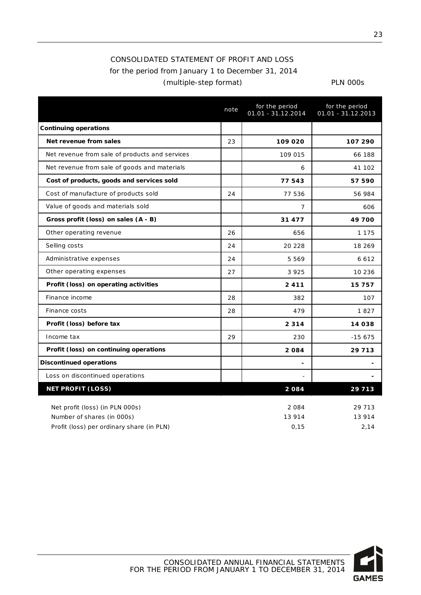## CONSOLIDATED STATEMENT OF PROFIT AND LOSS for the period from January 1 to December 31, 2014 (multiple-step format) PLN 000s

|                                                | note | for the period<br>01.01 - 31.12.2014 | for the period<br>$01.01 - 31.12.2013$ |
|------------------------------------------------|------|--------------------------------------|----------------------------------------|
| <b>Continuing operations</b>                   |      |                                      |                                        |
| Net revenue from sales                         | 23   | 109 020                              | 107 290                                |
| Net revenue from sale of products and services |      | 109 015                              | 66 188                                 |
| Net revenue from sale of goods and materials   |      | 6                                    | 41 102                                 |
| Cost of products, goods and services sold      |      | 77543                                | 57 590                                 |
| Cost of manufacture of products sold           | 24   | 77 536                               | 56 984                                 |
| Value of goods and materials sold              |      | 7                                    | 606                                    |
| Gross profit (loss) on sales (A - B)           |      | 31 477                               | 49700                                  |
| Other operating revenue                        | 26   | 656                                  | 1 1 7 5                                |
| Selling costs                                  | 24   | 20 228                               | 18 26 9                                |
| Administrative expenses                        | 24   | 5 5 6 9                              | 6612                                   |
| Other operating expenses                       | 27   | 3 9 2 5                              | 10 236                                 |
| Profit (loss) on operating activities          |      | 2411                                 | 15757                                  |
| Finance income                                 | 28   | 382                                  | 107                                    |
| Finance costs                                  | 28   | 479                                  | 1827                                   |
| Profit (loss) before tax                       |      | 2 3 1 4                              | 14 038                                 |
| Income tax                                     | 29   | 230                                  | $-15675$                               |
| Profit (loss) on continuing operations         |      | 2084                                 | 29 7 13                                |
| <b>Discontinued operations</b>                 |      |                                      |                                        |
| Loss on discontinued operations                |      |                                      |                                        |
| <b>NET PROFIT (LOSS)</b>                       |      | 2084                                 | 29 713                                 |
| Net profit (loss) (in PLN 000s)                |      | 2 0 8 4                              | 29 7 13                                |
| Number of shares (in 000s)                     |      | 13 914                               | 13 914                                 |
| Profit (loss) per ordinary share (in PLN)      |      | 0,15                                 | 2,14                                   |

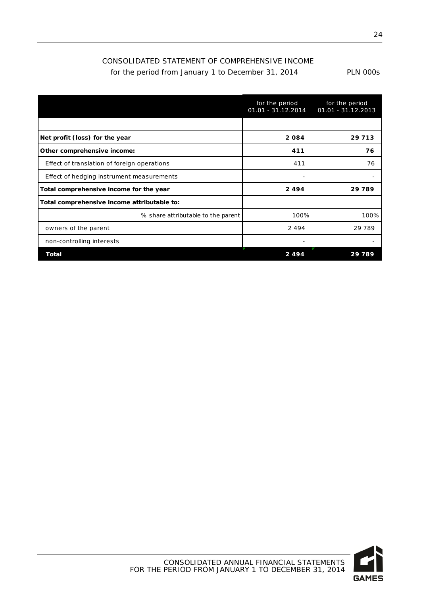### CONSOLIDATED STATEMENT OF COMPREHENSIVE INCOME for the period from January 1 to December 31, 2014

|  | <b>PLN 000s</b> |
|--|-----------------|
|--|-----------------|

|                                             | for the period<br>$01.01 - 31.12.2014$ | for the period<br>01.01 - 31.12.2013 |
|---------------------------------------------|----------------------------------------|--------------------------------------|
|                                             |                                        |                                      |
| Net profit (loss) for the year              | 2084                                   | 29 7 13                              |
| Other comprehensive income:                 | 411                                    | 76                                   |
| Effect of translation of foreign operations | 411                                    | 76                                   |
| Effect of hedging instrument measurements   |                                        |                                      |
| Total comprehensive income for the year     | 2494                                   | 29789                                |
| Total comprehensive income attributable to: |                                        |                                      |
| % share attributable to the parent          | 100%                                   | 100%                                 |
| owners of the parent                        | 2494                                   | 29 7 89                              |
| non-controlling interests                   |                                        |                                      |
| Total                                       | 2494                                   | 29 789                               |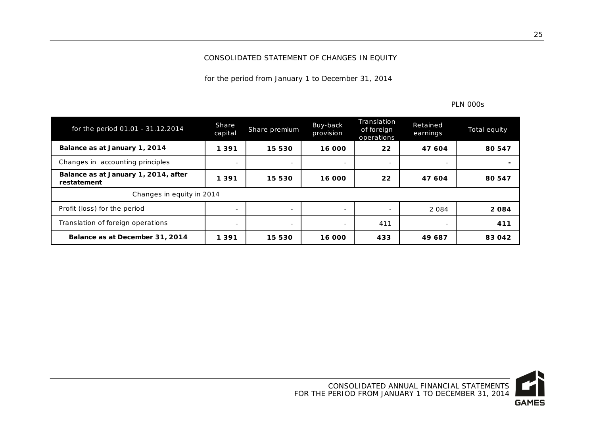#### CONSOLIDATED STATEMENT OF CHANGES IN EQUITY

for the period from January 1 to December 31, 2014

| for the period 01.01 - 31.12.2014                   | Share<br>capital          | Share premium            | Buy-back<br>provision    | Translation<br>of foreign<br>operations | <b>Retained</b><br>earnings | Total equity |  |
|-----------------------------------------------------|---------------------------|--------------------------|--------------------------|-----------------------------------------|-----------------------------|--------------|--|
| Balance as at January 1, 2014                       | 1 3 9 1                   | 15 530                   | 16 000                   | 22                                      | 47 604                      | 80 547       |  |
| Changes in accounting principles                    |                           |                          |                          |                                         |                             |              |  |
| Balance as at January 1, 2014, after<br>restatement | 1 3 9 1                   | 15 530                   | 16 000                   | 22                                      | 47 604                      | 80 547       |  |
|                                                     | Changes in equity in 2014 |                          |                          |                                         |                             |              |  |
| Profit (loss) for the period                        |                           | $\overline{\phantom{a}}$ | $\sim$                   | $\sim$                                  | 2 0 8 4                     | 2084         |  |
| Translation of foreign operations                   |                           | $\overline{\phantom{a}}$ | $\overline{\phantom{a}}$ | 411                                     | $\overline{\phantom{a}}$    | 411          |  |
| Balance as at December 31, 2014                     | 1 3 9 1                   | 15 530                   | 16 000                   | 433                                     | 49687                       | 83 042       |  |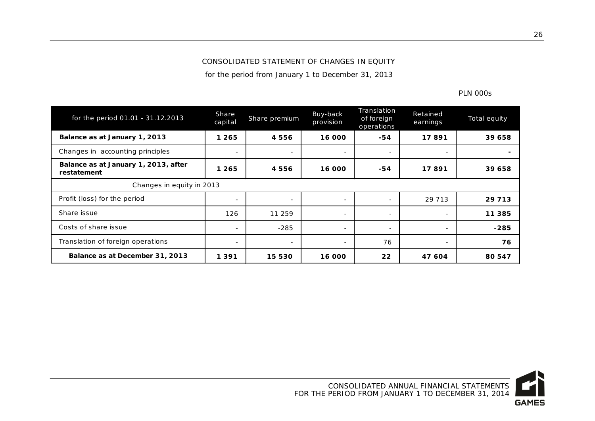#### CONSOLIDATED STATEMENT OF CHANGES IN EQUITY

for the period from January 1 to December 31, 2013

| for the period 01.01 - 31.12.2013                   | Share<br>capital         | Share premium            | Buy-back<br>provision | Translation<br>of foreign<br>operations | Retained<br>earnings     | Total equity |
|-----------------------------------------------------|--------------------------|--------------------------|-----------------------|-----------------------------------------|--------------------------|--------------|
| Balance as at January 1, 2013                       | 1 265                    | 4556                     | 16 000                | $-54$                                   | 17891                    | 39 658       |
| Changes in accounting principles                    | $\overline{\phantom{0}}$ | $\sim$                   | Ξ.                    | $\sim$                                  | $\overline{\phantom{a}}$ |              |
| Balance as at January 1, 2013, after<br>restatement | 1 265                    | 4556                     | 16 000                | $-54$                                   | 17891                    | 39 658       |
| Changes in equity in 2013                           |                          |                          |                       |                                         |                          |              |
| Profit (loss) for the period                        | $\overline{\phantom{0}}$ | $\overline{\phantom{a}}$ | $\sim$                | $\sim$                                  | 29 7 13                  | 29 7 13      |
| Share issue                                         | 126                      | 11 259                   | Ξ.                    | $\sim$                                  | $\overline{\phantom{a}}$ | 11 385       |
| Costs of share issue                                |                          | $-285$                   | -                     | $\overline{\phantom{a}}$                | $\overline{\phantom{a}}$ | $-285$       |
| Translation of foreign operations                   | $\overline{\phantom{a}}$ | $\overline{\phantom{a}}$ | Ξ.                    | 76                                      | $\overline{\phantom{a}}$ | 76           |
| Balance as at December 31, 2013                     | 1 3 9 1                  | 15 5 30                  | 16 000                | 22                                      | 47 604                   | 80 547       |

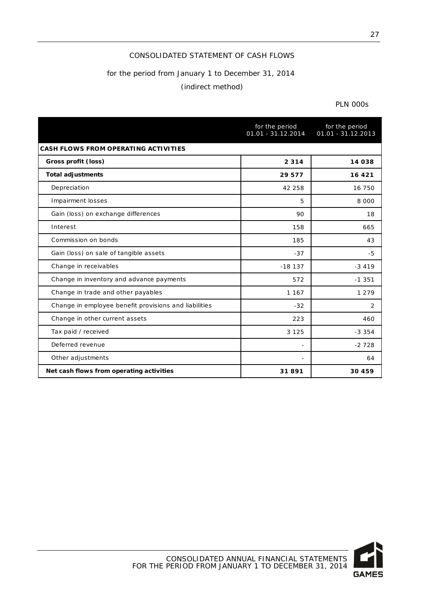#### CONSOLIDATED STATEMENT OF CASH FLOWS

#### for the period from January 1 to December 31, 2014

#### (indirect method)

|                                                       | for the period<br>$01.01 - 31.12.2014$ | for the period<br>$01.01 - 31.12.2013$ |
|-------------------------------------------------------|----------------------------------------|----------------------------------------|
| <b>CASH FLOWS FROM OPERATING ACTIVITIES</b>           |                                        |                                        |
| Gross profit (loss)                                   | 2 3 1 4                                | 14 038                                 |
| <b>Total adjustments</b>                              | 29 577                                 | 16 4 21                                |
| Depreciation                                          | 42 258                                 | 16 750                                 |
| Impairment losses                                     | 5                                      | 8 0 0 0                                |
| Gain (loss) on exchange differences                   | 90                                     | 18                                     |
| Interest                                              | 158                                    | 665                                    |
| Commission on bonds                                   | 185                                    | 43                                     |
| Gain (loss) on sale of tangible assets                | $-37$                                  | $-5$                                   |
| Change in receivables                                 | $-18137$                               | $-3419$                                |
| Change in inventory and advance payments              | 572                                    | $-1.351$                               |
| Change in trade and other payables                    | 1 1 6 7                                | 1 2 7 9                                |
| Change in employee benefit provisions and liabilities | $-32$                                  | $\overline{2}$                         |
| Change in other current assets                        | 223                                    | 460                                    |
| Tax paid / received                                   | 3 1 2 5                                | $-3.354$                               |
| Deferred revenue                                      |                                        | $-2728$                                |
| Other adjustments                                     | $\overline{\phantom{a}}$               | 64                                     |
| Net cash flows from operating activities              | 31891                                  | 30 459                                 |

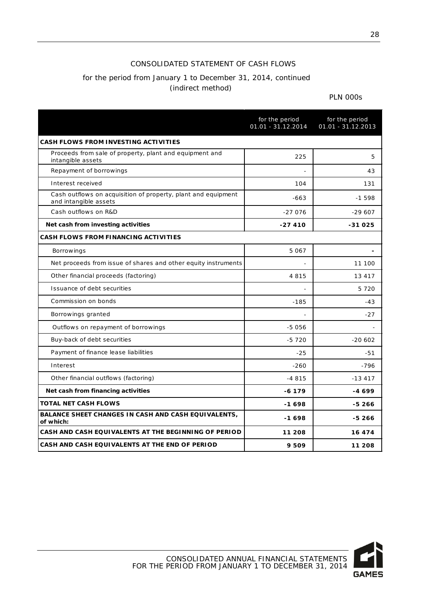#### CONSOLIDATED STATEMENT OF CASH FLOWS

## for the period from January 1 to December 31, 2014, continued (indirect method)

|                                                                                        | for the period<br>01.01 - 31.12.2014 | for the period<br>01.01 - 31.12.2013 |
|----------------------------------------------------------------------------------------|--------------------------------------|--------------------------------------|
| <b>CASH FLOWS FROM INVESTING ACTIVITIES</b>                                            |                                      |                                      |
| Proceeds from sale of property, plant and equipment and<br>intangible assets           | 225                                  | 5                                    |
| Repayment of borrowings                                                                |                                      | 43                                   |
| Interest received                                                                      | 104                                  | 131                                  |
| Cash outflows on acquisition of property, plant and equipment<br>and intangible assets | $-663$                               | $-1598$                              |
| Cash outflows on R&D                                                                   | $-27076$                             | $-29607$                             |
| Net cash from investing activities                                                     | $-27410$                             | -31025                               |
| <b>CASH FLOWS FROM FINANCING ACTIVITIES</b>                                            |                                      |                                      |
| <b>Borrowings</b>                                                                      | 5 0 6 7                              |                                      |
| Net proceeds from issue of shares and other equity instruments                         |                                      | 11 100                               |
| Other financial proceeds (factoring)                                                   | 4815                                 | 13 417                               |
| Issuance of debt securities                                                            |                                      | 5720                                 |
| Commission on bonds                                                                    | $-185$                               | $-43$                                |
| Borrowings granted                                                                     |                                      | $-27$                                |
| Outflows on repayment of borrowings                                                    | $-5056$                              |                                      |
| Buy-back of debt securities                                                            | $-5720$                              | $-20.602$                            |
| Payment of finance lease liabilities                                                   | $-25$                                | $-51$                                |
| Interest                                                                               | $-260$                               | $-796$                               |
| Other financial outflows (factoring)                                                   | $-4815$                              | $-13417$                             |
| Net cash from financing activities                                                     | $-6179$                              | -4 699                               |
| <b>TOTAL NET CASH FLOWS</b>                                                            | -1698                                | $-5266$                              |
| <b>BALANCE SHEET CHANGES IN CASH AND CASH EQUIVALENTS,</b><br>of which:                | -1698                                | $-5266$                              |
| CASH AND CASH EQUIVALENTS AT THE BEGINNING OF PERIOD                                   | 11 208                               | 16 474                               |
| CASH AND CASH EQUIVALENTS AT THE END OF PERIOD                                         | 9509                                 | 11 208                               |

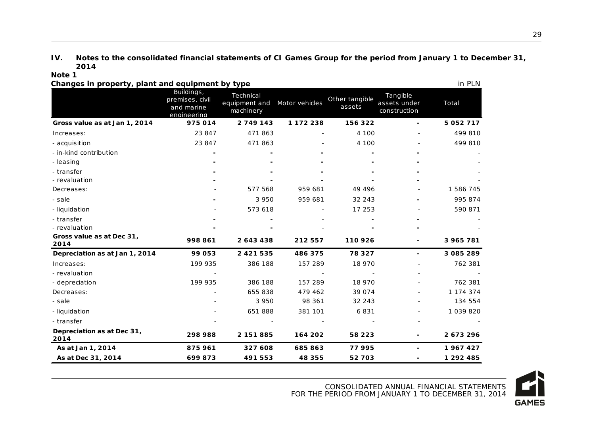#### **IV. Notes to the consolidated financial statements of CI Games Group for the period from January 1 to December 31, 2014**

#### **Note 1**

<span id="page-29-0"></span>

| Changes in property, plant and equipment by type |                                                            |                                         |                |                          |                                          | in PLN        |
|--------------------------------------------------|------------------------------------------------------------|-----------------------------------------|----------------|--------------------------|------------------------------------------|---------------|
|                                                  | Buildings,<br>premises, civil<br>and marine<br>enaineerina | Technical<br>equipment and<br>machinery | Motor vehicles | Other tangible<br>assets | Tangible<br>assets under<br>construction | Total         |
| Gross value as at Jan 1, 2014                    | 975014                                                     | 2749143                                 | 1 172 238      | 156 322                  | ٠                                        | 5 0 5 2 7 1 7 |
| Increases:                                       | 23 847                                                     | 471863                                  |                | 4 100                    |                                          | 499 810       |
| - acquisition                                    | 23 847                                                     | 471863                                  |                | 4 100                    |                                          | 499 810       |
| - in-kind contribution                           |                                                            |                                         |                |                          |                                          |               |
| - leasing                                        |                                                            |                                         |                |                          |                                          |               |
| - transfer                                       |                                                            |                                         |                |                          |                                          |               |
| - revaluation                                    |                                                            |                                         |                |                          |                                          |               |
| Decreases:                                       |                                                            | 577 568                                 | 959 681        | 49 4 9 6                 |                                          | 1 586 745     |
| - sale                                           |                                                            | 3 9 5 0                                 | 959 681        | 32 243                   |                                          | 995 874       |
| - liquidation                                    |                                                            | 573 618                                 |                | 17 253                   |                                          | 590 871       |
| - transfer                                       |                                                            |                                         |                |                          |                                          |               |
| - revaluation                                    |                                                            |                                         |                |                          |                                          |               |
| Gross value as at Dec 31,<br>2014                | 998 861                                                    | 2643438                                 | 212 557        | 110 926                  |                                          | 3 965 781     |
| Depreciation as at Jan 1, 2014                   | 99 053                                                     | 2 4 2 1 5 3 5                           | 486 375        | 78 327                   | $\blacksquare$                           | 3 085 289     |
| Increases:                                       | 199 935                                                    | 386 188                                 | 157 289        | 18 970                   |                                          | 762 381       |
| - revaluation                                    |                                                            |                                         |                |                          |                                          |               |
| - depreciation                                   | 199 935                                                    | 386 188                                 | 157 289        | 18 970                   |                                          | 762 381       |
| Decreases:                                       |                                                            | 655 838                                 | 479 462        | 39 0 74                  |                                          | 1 174 374     |
| - sale                                           |                                                            | 3 9 5 0                                 | 98 361         | 32 243                   |                                          | 134 554       |
| - liquidation                                    |                                                            | 651888                                  | 381 101        | 6831                     |                                          | 1 0 3 9 8 2 0 |
| - transfer                                       |                                                            |                                         |                |                          |                                          |               |
| Depreciation as at Dec 31,<br>2014               | 298 988                                                    | 2 151 885                               | 164 202        | 58 223                   |                                          | 2673296       |
| As at Jan 1, 2014                                | 875 961                                                    | 327 608                                 | 685863         | 77 995                   | ٠                                        | 1967427       |
| As at Dec 31, 2014                               | 699873                                                     | 491 553                                 | 48 355         | 52 703                   |                                          | 1 292 485     |

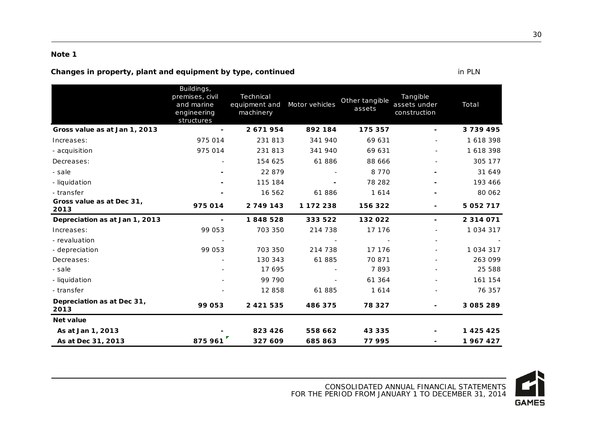#### **Changes in property, plant and equipment by type, continued in PLN** in PLN

| 2013<br><b>Net value</b>          |                                                                          |                                         |                |                          |                                          |               |
|-----------------------------------|--------------------------------------------------------------------------|-----------------------------------------|----------------|--------------------------|------------------------------------------|---------------|
| Depreciation as at Dec 31,        | 99 053                                                                   | 2 4 2 1 5 3 5                           | 486 375        | 78 327                   | -                                        | 3 085 289     |
| - transfer                        |                                                                          | 12 858                                  | 61885          | 1614                     |                                          | 76 357        |
| - liquidation                     |                                                                          | 99 790                                  |                | 61 364                   |                                          | 161 154       |
| - sale                            |                                                                          | 17 695                                  |                | 7893                     |                                          | 25 588        |
| Decreases:                        |                                                                          | 130 343                                 | 61885          | 70 871                   |                                          | 263 099       |
| - depreciation                    | 99 053                                                                   | 703 350                                 | 214 738        | 17 176                   |                                          | 1 0 3 4 3 1 7 |
| - revaluation                     |                                                                          |                                         |                |                          |                                          |               |
| Increases:                        | 99 053                                                                   | 703 350                                 | 214 738        | 17 176                   |                                          | 1 0 3 4 3 1 7 |
| Depreciation as at Jan 1, 2013    | ٠                                                                        | 1848528                                 | 333 522        | 132 022                  | $\overline{\phantom{a}}$                 | 2 3 1 4 0 7 1 |
| Gross value as at Dec 31,<br>2013 | 975014                                                                   | 2 749 143                               | 1 172 238      | 156 322                  | $\overline{\phantom{a}}$                 | 5 0 5 2 7 1 7 |
| - transfer                        |                                                                          | 16 562                                  | 61886          | 1614                     |                                          | 80 062        |
| - liquidation                     |                                                                          | 115 184                                 |                | 78 282                   |                                          | 193 466       |
| - sale                            |                                                                          | 22 879                                  |                | 8 7 7 0                  |                                          | 31 649        |
| Decreases:                        |                                                                          | 154 625                                 | 61886          | 88 666                   |                                          | 305 177       |
| - acquisition                     | 975 014                                                                  | 231 813                                 | 341 940        | 69 631                   |                                          | 1618398       |
| Increases:                        | 975 014                                                                  | 231 813                                 | 341 940        | 69 631                   |                                          | 1618398       |
| Gross value as at Jan 1, 2013     |                                                                          | 2671954                                 | 892 184        | 175 357                  | $\blacksquare$                           | 3739495       |
|                                   | Buildings,<br>premises, civil<br>and marine<br>engineering<br>structures | Technical<br>equipment and<br>machinery | Motor vehicles | Other tangible<br>assets | Tangible<br>assets under<br>construction | Total         |

CONSOLIDATED ANNUAL FINANCIAL STATEMENTS

FOR THE PERIOD FROM JANUARY 1 TO DECEMBER 31, 2014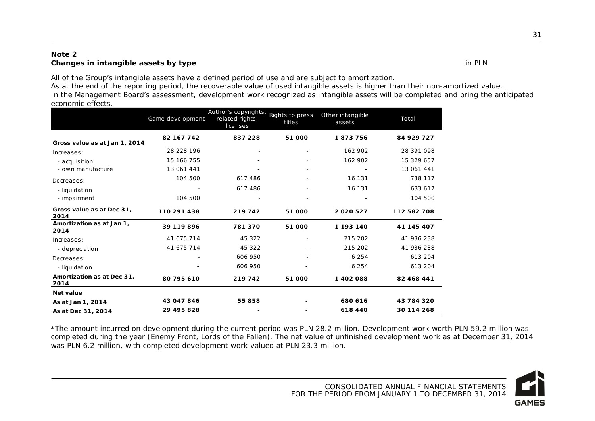#### **Note 2 Changes in intangible assets by type** in PLN

All of the Group's intangible assets have a defined period of use and are subject to amortization.

As at the end of the reporting period, the recoverable value of used intangible assets is higher than their non-amortized value. In the Management Board's assessment, development work recognized as intangible assets will be completed and bring the anticipated economic effects.

|                                    | Game development | Author's copyrights, Rights to press<br>related rights,<br>licenses | titles                   | Other intangible<br>assets | Total       |
|------------------------------------|------------------|---------------------------------------------------------------------|--------------------------|----------------------------|-------------|
| Gross value as at Jan 1, 2014      | 82 167 742       | 837 228                                                             | 51 000                   | 1873756                    | 84 929 727  |
| Increases:                         | 28 228 196       |                                                                     |                          | 162 902                    | 28 391 098  |
| - acquisition                      | 15 166 755       |                                                                     |                          | 162 902                    | 15 329 657  |
| - own manufacture                  | 13 061 441       |                                                                     |                          |                            | 13 061 441  |
| Decreases:                         | 104 500          | 617 486                                                             |                          | 16 131                     | 738 117     |
| - liquidation                      |                  | 617486                                                              |                          | 16 131                     | 633 617     |
| - impairment                       | 104 500          |                                                                     |                          |                            | 104 500     |
| Gross value as at Dec 31,<br>2014  | 110 291 438      | 219 742                                                             | 51 000                   | 2020527                    | 112 582 708 |
| Amortization as at Jan 1,<br>2014  | 39 119 896       | 781370                                                              | 51 000                   | 1 193 140                  | 41 145 407  |
| Increases:                         | 41 675 714       | 45 322                                                              | $\overline{\phantom{a}}$ | 215 202                    | 41 936 238  |
| - depreciation                     | 41 675 714       | 45 322                                                              |                          | 215 202                    | 41 936 238  |
| Decreases:                         |                  | 606 950                                                             |                          | 6 2 5 4                    | 613 204     |
| - liquidation                      |                  | 606 950                                                             |                          | 6 2 5 4                    | 613 204     |
| Amortization as at Dec 31,<br>2014 | 80 795 610       | 219 742                                                             | 51 000                   | 1 402 088                  | 82 468 441  |
| Net value                          |                  |                                                                     |                          |                            |             |
| As at Jan 1, 2014                  | 43 047 846       | 55 858                                                              |                          | 680 616                    | 43 784 320  |
| As at Dec 31, 2014                 | 29 495 828       |                                                                     |                          | 618 440                    | 30 114 268  |

\*The amount incurred on development during the current period was PLN 28.2 million. Development work worth PLN 59.2 million was completed during the year (Enemy Front, Lords of the Fallen). The net value of unfinished development work as at December 31, 2014 was PLN 6.2 million, with completed development work valued at PLN 23.3 million.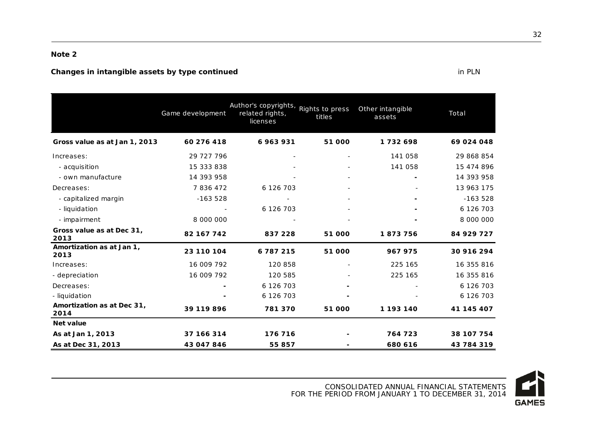#### **Changes in intangible assets by type continued**  in PLN

|                                    | Game development | Author's copyrights, Rights to press<br>related rights,<br>licenses | titles | Other intangible<br>assets | Total      |
|------------------------------------|------------------|---------------------------------------------------------------------|--------|----------------------------|------------|
| Gross value as at Jan 1, 2013      | 60 276 418       | 6963931                                                             | 51 000 | 1732698                    | 69 024 048 |
| Increases:                         | 29 727 796       |                                                                     |        | 141 058                    | 29 868 854 |
| - acquisition                      | 15 333 838       |                                                                     |        | 141 058                    | 15 474 896 |
| - own manufacture                  | 14 393 958       |                                                                     |        |                            | 14 393 958 |
| Decreases:                         | 7836472          | 6 126 703                                                           |        |                            | 13 963 175 |
| - capitalized margin               | $-163528$        |                                                                     |        |                            | $-163528$  |
| - liquidation                      |                  | 6 126 703                                                           |        |                            | 6 126 703  |
| - impairment                       | 8 000 000        |                                                                     |        |                            | 8 000 000  |
| Gross value as at Dec 31,<br>2013  | 82 167 742       | 837 228                                                             | 51 000 | 1873756                    | 84 929 727 |
| Amortization as at Jan 1,<br>2013  | 23 110 104       | 6787215                                                             | 51 000 | 967 975                    | 30 916 294 |
| Increases:                         | 16 009 792       | 120 858                                                             |        | 225 165                    | 16 355 816 |
| - depreciation                     | 16 009 792       | 120 585                                                             |        | 225 165                    | 16 355 816 |
| Decreases:                         |                  | 6 126 703                                                           |        |                            | 6 126 703  |
| - liquidation                      |                  | 6 126 703                                                           |        |                            | 6 126 703  |
| Amortization as at Dec 31,<br>2014 | 39 119 896       | 781 370                                                             | 51 000 | 1 193 140                  | 41 145 407 |
| <b>Net value</b>                   |                  |                                                                     |        |                            |            |
| As at Jan 1, 2013                  | 37 166 314       | 176 716                                                             |        | 764 723                    | 38 107 754 |
| As at Dec 31, 2013                 | 43 047 846       | 55 857                                                              |        | 680 616                    | 43 784 319 |

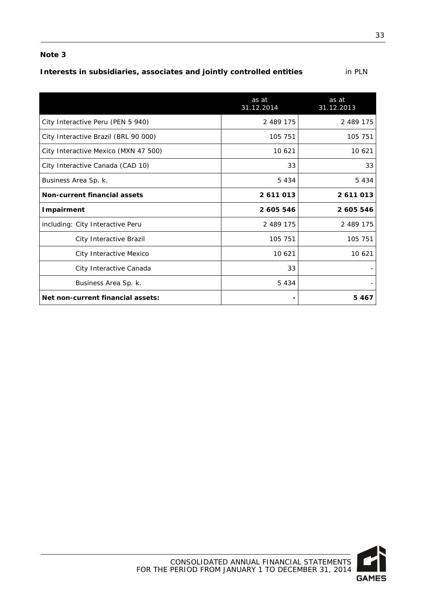## **Interests in subsidiaries, associates and jointly controlled entities** in PLN

|                                      | as at<br>31.12.2014 | as at<br>31.12.2013 |
|--------------------------------------|---------------------|---------------------|
| City Interactive Peru (PEN 5 940)    | 2 489 175           | 2 489 175           |
| City Interactive Brazil (BRL 90 000) | 105 751             | 105 751             |
| City Interactive Mexico (MXN 47 500) | 10 621              | 10 621              |
| City Interactive Canada (CAD 10)     | 33                  | 33                  |
| Business Area Sp. k.                 | 5 4 3 4             | 5 4 3 4             |
| Non-current financial assets         | 2611013             | 2611013             |
| <b>Impairment</b>                    | 2 605 546           | 2 605 546           |
| including: City Interactive Peru     | 2 489 175           | 2 489 175           |
| City Interactive Brazil              | 105 751             | 105 751             |
| City Interactive Mexico              | 10 621              | 10 621              |
| City Interactive Canada              | 33                  |                     |
| Business Area Sp. k.                 | 5 4 3 4             |                     |
| Net non-current financial assets:    |                     | 5467                |

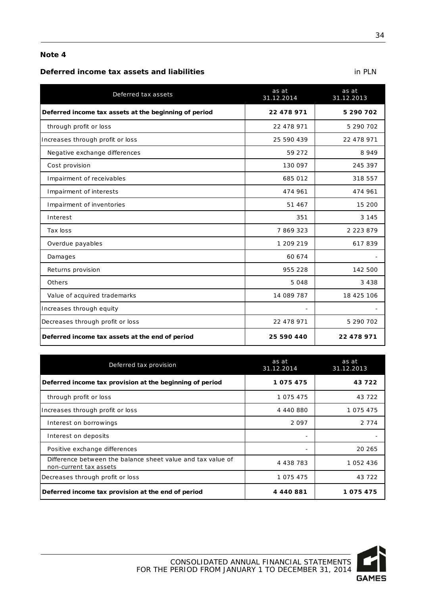#### **Deferred income tax assets and liabilities** in PLN

| Deferred tax assets                                   | as at<br>31.12.2014 | as at<br>31.12.2013 |
|-------------------------------------------------------|---------------------|---------------------|
| Deferred income tax assets at the beginning of period | 22 478 971          | 5 290 702           |
| through profit or loss                                | 22 478 971          | 5 290 702           |
| Increases through profit or loss                      | 25 590 439          | 22 478 971          |
| Negative exchange differences                         | 59 272              | 8949                |
| Cost provision                                        | 130 097             | 245 397             |
| Impairment of receivables                             | 685 012             | 318 557             |
| Impairment of interests                               | 474 961             | 474 961             |
| Impairment of inventories                             | 51 467              | 15 200              |
| Interest                                              | 351                 | 3 1 4 5             |
| Tax loss                                              | 7869323             | 2 2 2 3 8 7 9       |
| Overdue payables                                      | 1 209 219           | 617839              |
| Damages                                               | 60 674              |                     |
| Returns provision                                     | 955 228             | 142 500             |
| Others                                                | 5048                | 3 4 3 8             |
| Value of acquired trademarks                          | 14 089 787          | 18 425 106          |
| Increases through equity                              |                     |                     |
| Decreases through profit or loss                      | 22 478 971          | 5 290 702           |
| Deferred income tax assets at the end of period       | 25 590 440          | 22 478 971          |

| Deferred tax provision                                                                | as at<br>31.12.2014      | as at<br>31.12.2013 |
|---------------------------------------------------------------------------------------|--------------------------|---------------------|
| Deferred income tax provision at the beginning of period                              | 1075475                  | 43722               |
| through profit or loss                                                                | 1 0 7 5 4 7 5            | 43 7 22             |
| Increases through profit or loss                                                      | 4 440 880                | 1 075 475           |
| Interest on borrowings                                                                | 2097                     | 2 7 7 4             |
| Interest on deposits                                                                  |                          |                     |
| Positive exchange differences                                                         | $\overline{\phantom{0}}$ | 20 26 5             |
| Difference between the balance sheet value and tax value of<br>non-current tax assets | 4 4 3 8 7 8 3            | 1 052 436           |
| Decreases through profit or loss                                                      | 1 075 475                | 43 7 22             |
| Deferred income tax provision at the end of period                                    | 4 440 881                | 1075475             |

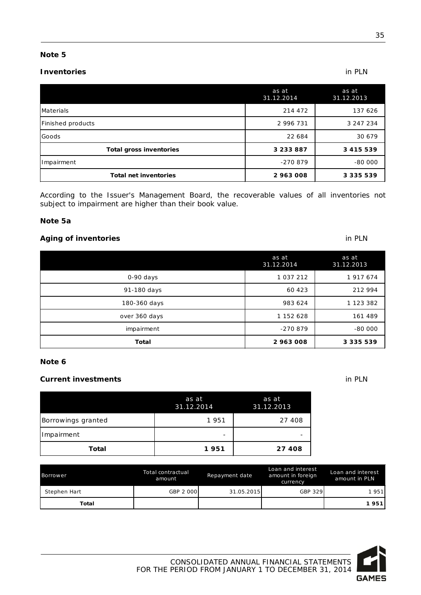#### **Inventories** in PLN

|                                | as at<br>31.12.2014 | as at<br>31.12.2013 |
|--------------------------------|---------------------|---------------------|
| Materials                      | 214 472             | 137 626             |
| Finished products              | 2 996 731           | 3 247 234           |
| Goods                          | 22 684              | 30 679              |
| <b>Total gross inventories</b> | 3 2 3 3 8 8 7       | 3 4 1 5 5 3 9       |
| Impairment                     | $-270879$           | $-80000$            |
| <b>Total net inventories</b>   | 2 963 008           | 3 3 3 5 5 3 9       |

According to the Issuer's Management Board, the recoverable values of all inventories not subject to impairment are higher than their book value.

#### **Note 5a**

#### **Aging of inventories** in PLN

|               | as at<br>31.12.2014 | as at<br>31.12.2013 |
|---------------|---------------------|---------------------|
| $0-90$ days   | 1 0 3 7 2 1 2       | 1 917 674           |
| 91-180 days   | 60 4 23             | 212 994             |
| 180-360 days  | 983 624             | 1 123 382           |
| over 360 days | 1 152 628           | 161 489             |
| impairment    | -270879             | $-80000$            |
| <b>Total</b>  | 2 963 008           | 3 3 3 5 5 3 9       |

#### **Note 6**

#### **Current investments** in PLN

| Total              | 1951                | 27 408              |  |
|--------------------|---------------------|---------------------|--|
| Impairment         | -                   |                     |  |
| Borrowings granted | 1951                | 27 408              |  |
|                    | as at<br>31.12.2014 | as at<br>31.12.2013 |  |

| Borrower     | Total contractual<br>amount | Repayment date | Loan and interest<br>amount in foreign<br>currency | Loan and interest<br>amount in PLN |
|--------------|-----------------------------|----------------|----------------------------------------------------|------------------------------------|
| Stephen Hart | GBP 2 000                   | 31.05.2015     | GBP 329                                            | 1951                               |
| Total        |                             |                |                                                    | 1951                               |



# **GAMES**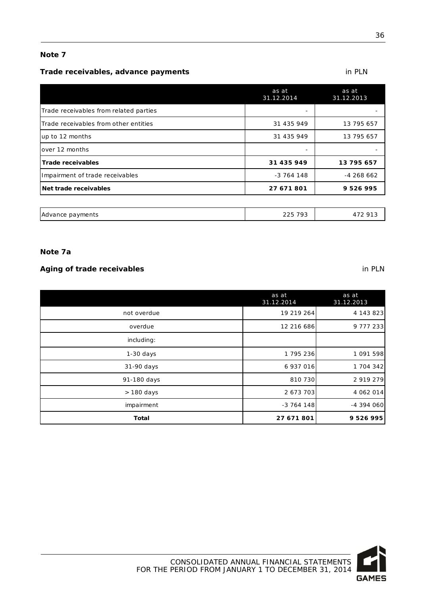#### **Trade receivables, advance payments in PLN**

|                                        | as at<br>31.12.2014 | as at<br>31.12.2013 |
|----------------------------------------|---------------------|---------------------|
| Trade receivables from related parties |                     |                     |
| Trade receivables from other entities  | 31 435 949          | 13 795 657          |
| up to 12 months                        | 31 435 949          | 13 795 657          |
| over 12 months                         |                     |                     |
| <b>Trade receivables</b>               | 31 435 949          | 13 795 657          |
| Impairment of trade receivables        | $-3764148$          | $-4268662$          |
| Net trade receivables                  | 27 671 801          | 9526995             |
|                                        |                     |                     |
| Advance payments                       | 225 793             | 472 913             |

#### **Note 7a**

### **Aging of trade receivables** in PLN

|              | as at<br>31.12.2014 | as at<br>31.12.2013 |
|--------------|---------------------|---------------------|
| not overdue  | 19 219 264          | 4 143 823           |
| overdue      | 12 216 686          | 9 7 7 2 3 3         |
| including:   |                     |                     |
| $1-30$ days  | 1795236             | 1 091 598           |
| 31-90 days   | 6 937 016           | 1 704 342           |
| 91-180 days  | 810 730             | 2 919 279           |
| > 180 days   | 2 673 703           | 4 062 014           |
| impairment   | $-3764148$          | $-4394060$          |
| <b>Total</b> | 27 671 801          | 9 526 995           |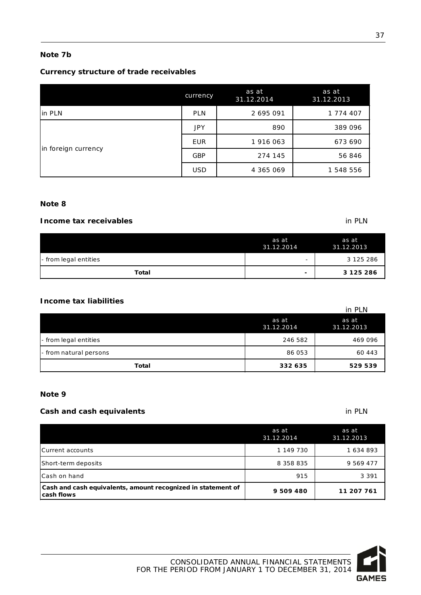#### **Note 7b**

#### **Currency structure of trade receivables**

|                     | currency   | as at<br>31.12.2014 | as at<br>31.12.2013 |
|---------------------|------------|---------------------|---------------------|
| in PLN              | <b>PLN</b> | 2 695 091           | 1 774 407           |
|                     | <b>JPY</b> | 890                 | 389 096             |
| in foreign currency | <b>EUR</b> | 1 916 063           | 673 690             |
|                     | <b>GBP</b> | 274 145             | 56 846              |
|                     | <b>USD</b> | 4 365 069           | 1 548 556           |

#### **Note 8**

#### **Income tax receivables** in PLN

|                       | as at<br>31.12.2014      | as at<br>31.12.2013 |
|-----------------------|--------------------------|---------------------|
| - from legal entities | $\overline{\phantom{0}}$ | 3 125 286           |
| Total                 | ۰                        | 3 125 286           |

#### **Income tax liabilities**

| <b>Total</b>           | 332 635             | 529 539             |
|------------------------|---------------------|---------------------|
| - from natural persons | 86 053              | 60 443              |
| - from legal entities  | 246 582             | 469 096             |
|                        | as at<br>31.12.2014 | as at<br>31.12.2013 |
|                        |                     | in PLN              |

#### **Note 9**

#### **Cash and cash equivalents in PLN**

|                                                                            | as at<br>31.12.2014 | as at<br>31.12.2013 |
|----------------------------------------------------------------------------|---------------------|---------------------|
| Current accounts                                                           | 1 149 730           | 1634893             |
| Short-term deposits                                                        | 8 358 835           | 9 569 477           |
| Cash on hand                                                               | 915                 | 3 3 9 1             |
| Cash and cash equivalents, amount recognized in statement of<br>cash flows | 9 509 480           | 11 207 761          |



37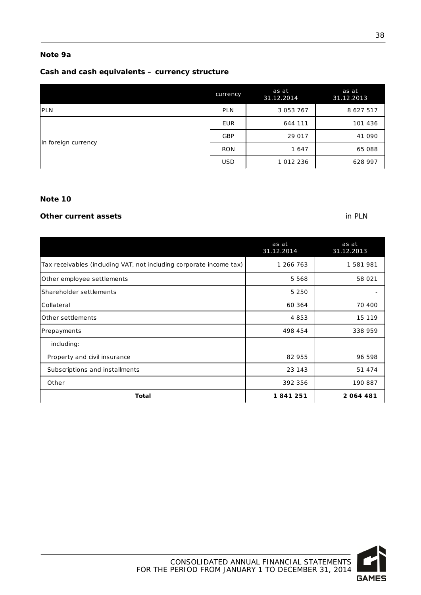#### **Note 9a**

#### **Cash and cash equivalents – currency structure**

|                     | currency   | as at<br>31.12.2014 | as at<br>31.12.2013 |
|---------------------|------------|---------------------|---------------------|
| <b>IPLN</b>         | PLN        | 3 0 5 3 7 6 7       | 8 627 517           |
|                     | <b>EUR</b> | 644 111             | 101 436             |
| in foreign currency | <b>GBP</b> | 29 017              | 41 090              |
|                     | <b>RON</b> | 1647                | 65 088              |
|                     | <b>USD</b> | 1 012 236           | 628 997             |

#### **Note 10**

#### **Other current assets** in PLN

|                                                                     | as at<br>31.12.2014 | as at<br>31.12.2013 |
|---------------------------------------------------------------------|---------------------|---------------------|
| Tax receivables (including VAT, not including corporate income tax) | 1 266 763           | 1 581 981           |
| Other employee settlements                                          | 5 5 6 8             | 58 0 21             |
| Shareholder settlements                                             | 5 2 5 0             |                     |
| Collateral                                                          | 60 364              | 70 400              |
| Other settlements                                                   | 4853                | 15 119              |
| Prepayments                                                         | 498 454             | 338 959             |
| including:                                                          |                     |                     |
| Property and civil insurance                                        | 82 955              | 96 598              |
| Subscriptions and installments                                      | 23 143              | 51 474              |
| Other                                                               | 392 356             | 190 887             |
| <b>Total</b>                                                        | 1841251             | 2064481             |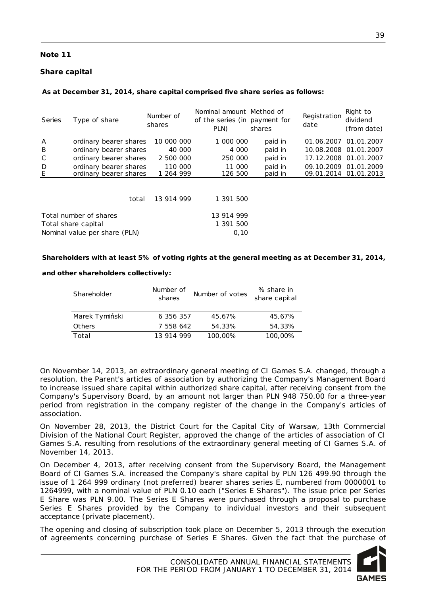#### **Share capital**

#### **As at December 31, 2014, share capital comprised five share series as follows:**

| Series | Type of share                 |       | Number of<br>shares | Nominal amount Method of<br>of the series (in payment for<br>PLN) | shares  | Registration<br>date | Right to<br>dividend<br>(from date) |
|--------|-------------------------------|-------|---------------------|-------------------------------------------------------------------|---------|----------------------|-------------------------------------|
| A      | ordinary bearer shares        |       | 10 000 000          | 1 000 000                                                         | paid in |                      | 01.06.2007 01.01.2007               |
| B      | ordinary bearer shares        |       | 40 000              | 4 000                                                             | paid in |                      | 10.08.2008 01.01.2007               |
| C      | ordinary bearer shares        |       | 2 500 000           | 250 000                                                           | paid in |                      | 17.12.2008 01.01.2007               |
| D      | ordinary bearer shares        |       | 110 000             | 11 000                                                            | paid in |                      | 09.10.2009 01.01.2009               |
| E      | ordinary bearer shares        |       | 1 264 999           | 126 500                                                           | paid in |                      | 09.01.2014 01.01.2013               |
|        |                               | total | 13 914 999          | 1 391 500                                                         |         |                      |                                     |
|        |                               |       |                     |                                                                   |         |                      |                                     |
|        | Total number of shares        |       |                     | 13 914 999                                                        |         |                      |                                     |
|        | Total share capital           |       |                     | 1 391 500                                                         |         |                      |                                     |
|        | Nominal value per share (PLN) |       |                     | 0,10                                                              |         |                      |                                     |

#### **Shareholders with at least 5% of voting rights at the general meeting as at December 31, 2014,**

#### **and other shareholders collectively:**

| Shareholder    | Number of<br>shares | Number of votes | % share in<br>share capital |
|----------------|---------------------|-----------------|-----------------------------|
| Marek Tymiński | 6 356 357           | 45.67%          | 45.67%                      |
| Others         | 7 558 642           | 54,33%          | 54,33%                      |
| Total          | 13 914 999          | 100,00%         | 100,00%                     |

On November 14, 2013, an extraordinary general meeting of CI Games S.A. changed, through a resolution, the Parent's articles of association by authorizing the Company's Management Board to increase issued share capital within authorized share capital, after receiving consent from the Company's Supervisory Board, by an amount not larger than PLN 948 750.00 for a three-year period from registration in the company register of the change in the Company's articles of association.

On November 28, 2013, the District Court for the Capital City of Warsaw, 13th Commercial Division of the National Court Register, approved the change of the articles of association of CI Games S.A. resulting from resolutions of the extraordinary general meeting of CI Games S.A. of November 14, 2013.

On December 4, 2013, after receiving consent from the Supervisory Board, the Management Board of CI Games S.A. increased the Company's share capital by PLN 126 499.90 through the issue of 1 264 999 ordinary (not preferred) bearer shares series E, numbered from 0000001 to 1264999, with a nominal value of PLN 0.10 each ("Series E Shares"). The issue price per Series E Share was PLN 9.00. The Series E Shares were purchased through a proposal to purchase Series E Shares provided by the Company to individual investors and their subsequent acceptance (private placement).

The opening and closing of subscription took place on December 5, 2013 through the execution of agreements concerning purchase of Series E Shares. Given the fact that the purchase of

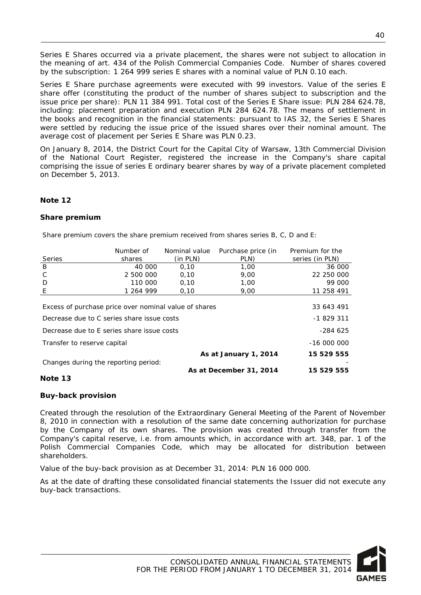Series E Shares occurred via a private placement, the shares were not subject to allocation in the meaning of art. 434 of the Polish Commercial Companies Code. Number of shares covered by the subscription: 1 264 999 series E shares with a nominal value of PLN 0.10 each.

Series E Share purchase agreements were executed with 99 investors. Value of the series E share offer (constituting the product of the number of shares subject to subscription and the issue price per share): PLN 11 384 991. Total cost of the Series E Share issue: PLN 284 624.78, including: placement preparation and execution PLN 284 624.78. The means of settlement in the books and recognition in the financial statements: pursuant to IAS 32, the Series E Shares were settled by reducing the issue price of the issued shares over their nominal amount. The average cost of placement per Series E Share was PLN 0.23.

On January 8, 2014, the District Court for the Capital City of Warsaw, 13th Commercial Division of the National Court Register, registered the increase in the Company's share capital comprising the issue of series E ordinary bearer shares by way of a private placement completed on December 5, 2013.

#### **Note 12**

#### **Share premium**

Share premium covers the share premium received from shares series B, C, D and E:

|                                                       | Number of | Nominal value | Purchase price (in      | Premium for the |
|-------------------------------------------------------|-----------|---------------|-------------------------|-----------------|
| <b>Series</b>                                         | shares    | (in PLN)      | PLN)                    | series (in PLN) |
| B                                                     | 40 000    | 0,10          | 1,00                    | 36 000          |
| C                                                     | 2 500 000 | 0,10          | 9,00                    | 22 250 000      |
| D                                                     | 110 000   | 0,10          | 1,00                    | 99 000          |
| E                                                     | 1 264 999 | 0,10          | 9,00                    | 11 258 491      |
|                                                       |           |               |                         |                 |
| Excess of purchase price over nominal value of shares |           |               |                         | 33 643 491      |
| Decrease due to C series share issue costs            |           | $-1829311$    |                         |                 |
| Decrease due to E series share issue costs            |           |               |                         | -284 625        |
| Transfer to reserve capital                           |           |               |                         | $-1600000$      |
|                                                       |           |               | As at January 1, 2014   | 15 529 555      |
| Changes during the reporting period:                  |           |               |                         |                 |
|                                                       |           |               | As at December 31, 2014 | 15 529 555      |

#### **Note 13**

#### **Buy-back provision**

Created through the resolution of the Extraordinary General Meeting of the Parent of November 8, 2010 in connection with a resolution of the same date concerning authorization for purchase by the Company of its own shares. The provision was created through transfer from the Company's capital reserve, i.e. from amounts which, in accordance with art. 348, par. 1 of the Polish Commercial Companies Code, which may be allocated for distribution between shareholders.

Value of the buy-back provision as at December 31, 2014: PLN 16 000 000.

As at the date of drafting these consolidated financial statements the Issuer did not execute any buy-back transactions.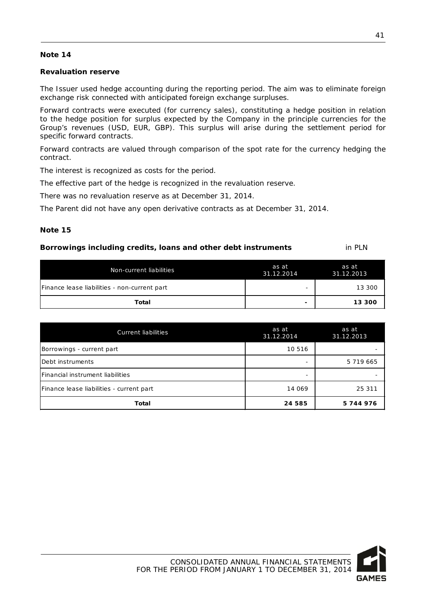#### **Revaluation reserve**

The Issuer used hedge accounting during the reporting period. The aim was to eliminate foreign exchange risk connected with anticipated foreign exchange surpluses.

Forward contracts were executed (for currency sales), constituting a hedge position in relation to the hedge position for surplus expected by the Company in the principle currencies for the Group's revenues (USD, EUR, GBP). This surplus will arise during the settlement period for specific forward contracts.

Forward contracts are valued through comparison of the spot rate for the currency hedging the contract.

The interest is recognized as costs for the period.

The effective part of the hedge is recognized in the revaluation reserve.

There was no revaluation reserve as at December 31, 2014.

The Parent did not have any open derivative contracts as at December 31, 2014.

#### **Note 15**

| Borrowings including credits, loans and other debt instruments | in PLN |
|----------------------------------------------------------------|--------|
|----------------------------------------------------------------|--------|

| Non-current liabilities                      | as at<br>31.12.2014      | as at<br>31.12.2013 |
|----------------------------------------------|--------------------------|---------------------|
| Finance lease liabilities - non-current part | $\overline{\phantom{0}}$ | 13 300              |
| Total                                        | ٠                        | 13 300              |

| <b>Current liabilities</b>               | as at<br>31.12.2014 | as at<br>31.12.2013 |
|------------------------------------------|---------------------|---------------------|
| Borrowings - current part                | 10 5 16             |                     |
| Debt instruments                         |                     | 5 719 665           |
| Financial instrument liabilities         | -                   |                     |
| Finance lease liabilities - current part | 14 069              | 25 311              |
| Total                                    | 24 585              | 5744976             |

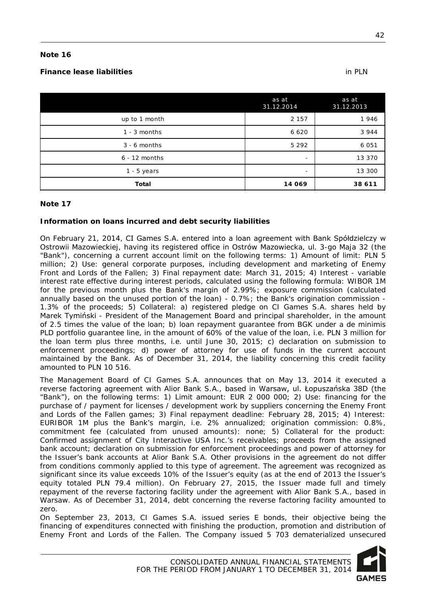#### **Finance lease liabilities** in PLN

|                 | as at<br>31.12.2014      | as at<br>31.12.2013 |
|-----------------|--------------------------|---------------------|
| up to 1 month   | 2 1 5 7                  | 1946                |
| $1 - 3$ months  | 6 6 2 0                  | 3944                |
| $3 - 6$ months  | 5 2 9 2                  | 6 0 5 1             |
| $6 - 12$ months | $\overline{\phantom{0}}$ | 13 370              |
| $1 - 5$ years   | $\overline{\phantom{a}}$ | 13 300              |
| <b>Total</b>    | 14 069                   | 38 611              |

#### **Note 17**

#### **Information on loans incurred and debt security liabilities**

On February 21, 2014, CI Games S.A. entered into a loan agreement with Bank Spółdzielczy w Ostrowii Mazowieckiej, having its registered office in Ostrów Mazowiecka, ul. 3-go Maja 32 (the "Bank"), concerning a current account limit on the following terms: 1) Amount of limit: PLN 5 million; 2) Use: general corporate purposes, including development and marketing of Enemy Front and Lords of the Fallen; 3) Final repayment date: March 31, 2015; 4) Interest - variable interest rate effective during interest periods, calculated using the following formula: WIBOR 1M for the previous month plus the Bank's margin of 2.99%; exposure commission (calculated annually based on the unused portion of the loan) - 0.7%; the Bank's origination commission - 1.3% of the proceeds; 5) Collateral: a) registered pledge on CI Games S.A. shares held by Marek Tymiński - President of the Management Board and principal shareholder, in the amount of 2.5 times the value of the loan; b) loan repayment guarantee from BGK under a de minimis PLD portfolio guarantee line, in the amount of 60% of the value of the loan, i.e. PLN 3 million for the loan term plus three months, i.e. until June 30, 2015; c) declaration on submission to enforcement proceedings; d) power of attorney for use of funds in the current account maintained by the Bank. As of December 31, 2014, the liability concerning this credit facility amounted to PLN 10 516.

The Management Board of CI Games S.A. announces that on May 13, 2014 it executed a reverse factoring agreement with Alior Bank S.A., based in Warsaw, ul. Łopuszańska 38D (the "Bank"), on the following terms: 1) Limit amount: EUR 2 000 000; 2) Use: financing for the purchase of / payment for licenses / development work by suppliers concerning the Enemy Front and Lords of the Fallen games; 3) Final repayment deadline: February 28, 2015; 4) Interest: EURIBOR 1M plus the Bank's margin, i.e. 2% annualized; origination commission: 0.8%, commitment fee (calculated from unused amounts): none; 5) Collateral for the product: Confirmed assignment of City Interactive USA Inc.'s receivables; proceeds from the assigned bank account; declaration on submission for enforcement proceedings and power of attorney for the Issuer's bank accounts at Alior Bank S.A. Other provisions in the agreement do not differ from conditions commonly applied to this type of agreement. The agreement was recognized as significant since its value exceeds 10% of the Issuer's equity (as at the end of 2013 the Issuer's equity totaled PLN 79.4 million). On February 27, 2015, the Issuer made full and timely repayment of the reverse factoring facility under the agreement with Alior Bank S.A., based in Warsaw. As of December 31, 2014, debt concerning the reverse factoring facility amounted to zero.

On September 23, 2013, CI Games S.A. issued series E bonds, their objective being the financing of expenditures connected with finishing the production, promotion and distribution of Enemy Front and Lords of the Fallen. The Company issued 5 703 dematerialized unsecured

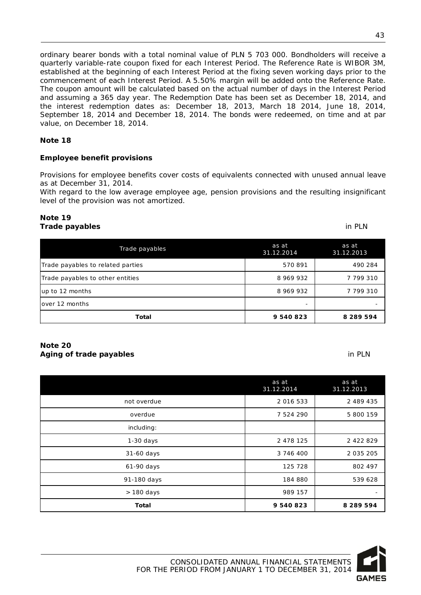ordinary bearer bonds with a total nominal value of PLN 5 703 000. Bondholders will receive a quarterly variable-rate coupon fixed for each Interest Period. The Reference Rate is WIBOR 3M, established at the beginning of each Interest Period at the fixing seven working days prior to the commencement of each Interest Period. A 5.50% margin will be added onto the Reference Rate. The coupon amount will be calculated based on the actual number of days in the Interest Period and assuming a 365 day year. The Redemption Date has been set as December 18, 2014, and the interest redemption dates as: December 18, 2013, March 18 2014, June 18, 2014, September 18, 2014 and December 18, 2014. The bonds were redeemed, on time and at par value, on December 18, 2014.

#### **Note 18**

#### **Employee benefit provisions**

Provisions for employee benefits cover costs of equivalents connected with unused annual leave as at December 31, 2014.

With regard to the low average employee age, pension provisions and the resulting insignificant level of the provision was not amortized.

#### **Note 19 Trade payables** in PLN

| Trade payables                    | as at<br>31.12.2014      | as at<br>31.12.2013 |
|-----------------------------------|--------------------------|---------------------|
| Trade payables to related parties | 570891                   | 490 284             |
| Trade payables to other entities  | 8 969 932                | 7 799 310           |
| up to 12 months                   | 8 969 932                | 7 799 310           |
| lover 12 months                   | $\overline{\phantom{0}}$ |                     |
| Total                             | 9 540 823                | 8 2 8 9 5 9 4       |

#### **Note 20 Aging of trade payables** in PLN

|              | as at<br>31.12.2014 | as at<br>31.12.2013 |
|--------------|---------------------|---------------------|
| not overdue  | 2 0 1 6 5 3 3       | 2 489 435           |
| overdue      | 7 524 290           | 5 800 159           |
| including:   |                     |                     |
| $1-30$ days  | 2 478 125           | 2 422 829           |
| 31-60 days   | 3 746 400           | 2 0 3 5 2 0 5       |
| 61-90 days   | 125 728             | 802 497             |
| 91-180 days  | 184 880             | 539 628             |
| > 180 days   | 989 157             |                     |
| <b>Total</b> | 9 540 823           | 8 2 8 9 5 9 4       |

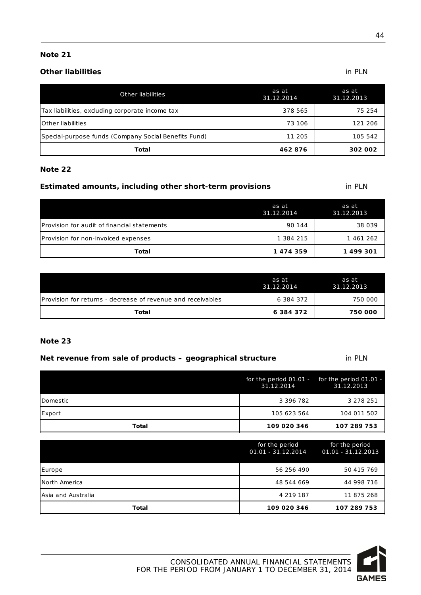#### **Other liabilities**

| <b>Other liabilities</b>                             | as at<br>31.12.2014 | as at<br>31.12.2013 |
|------------------------------------------------------|---------------------|---------------------|
| Tax liabilities, excluding corporate income tax      | 378 565             | 75 254              |
| <b>IOther liabilities</b>                            | 73 106              | 121 206             |
| Special-purpose funds (Company Social Benefits Fund) | 11 205              | 105 542             |
| Total                                                | 462876              | 302 002             |

#### **Note 22**

#### **Estimated amounts, including other short-term provisions** in PLN

|                                             | as at<br>31.12.2014 | as at<br>31.12.2013 |
|---------------------------------------------|---------------------|---------------------|
| Provision for audit of financial statements | 90 144              | 38 0 39             |
| Provision for non-invoiced expenses         | 1 384 215           | 1 461 262           |
| Total                                       | 1474359             | 1499301             |

|                                                              | as at<br>31.12.2014 | as at<br>31.12.2013 |
|--------------------------------------------------------------|---------------------|---------------------|
| IProvision for returns - decrease of revenue and receivables | 6 384 372           | 750 000             |
| Total                                                        | 6 3 8 4 3 7 2       | 750 000             |

#### **Note 23**

#### **Net revenue from sale of products – geographical structure** in PLN

|          | for the period $01.01$ - for the period $01.01$ -<br>31.12.2014 | 31.12.2013  |
|----------|-----------------------------------------------------------------|-------------|
| Domestic | 3 3 9 6 7 8 2                                                   | 3 278 251   |
| Export   | 105 623 564                                                     | 104 011 502 |
| Total    | 109 020 346                                                     | 107 289 753 |

|                    | for the period<br>$01.01 - 31.12.2014$ | for the period<br>$01.01 - 31.12.2013$ |
|--------------------|----------------------------------------|----------------------------------------|
| Europe             | 56 256 490                             | 50 415 769                             |
| North America      | 48 544 669                             | 44 998 716                             |
| Asia and Australia | 4 219 187                              | 11 875 268                             |
| Total              | 109 020 346                            | 107 289 753                            |

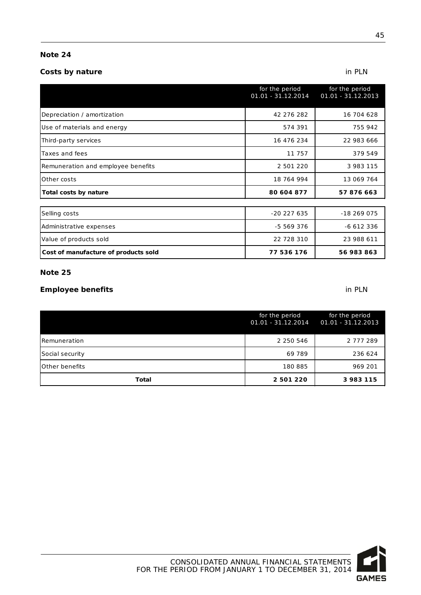#### **Costs by nature** in PLN

|                                      | for the period<br>$01.01 - 31.12.2014$ | for the period<br>01.01 - 31.12.2013 |
|--------------------------------------|----------------------------------------|--------------------------------------|
| Depreciation / amortization          | 42 276 282                             | 16 704 628                           |
| Use of materials and energy          | 574 391                                | 755 942                              |
| Third-party services                 | 16 476 234                             | 22 983 666                           |
| Taxes and fees                       | 11 757                                 | 379 549                              |
| Remuneration and employee benefits   | 2 501 220                              | 3 983 115                            |
| Other costs                          | 18 764 994                             | 13 069 764                           |
| Total costs by nature                | 80 604 877                             | 57 876 663                           |
|                                      |                                        |                                      |
| Selling costs                        | $-20227635$                            | -18 269 075                          |
| Administrative expenses              | -5 569 376                             | -6 612 336                           |
| Value of products sold               | 22 728 310                             | 23 988 611                           |
| Cost of manufacture of products sold | 77 536 176                             | 56 983 863                           |

#### **Note 25**

#### **Employee benefits** in PLN

|                       | for the period<br>$01.01 - 31.12.2014$ | for the period<br>01.01 - 31.12.2013 |
|-----------------------|----------------------------------------|--------------------------------------|
| Remuneration          | 2 2 5 0 5 4 6                          | 2 777 289                            |
| Social security       | 69 789                                 | 236 624                              |
| <b>Other benefits</b> | 180 885                                | 969 201                              |
| Total                 | 2 501 220                              | 3983115                              |

**GAMES**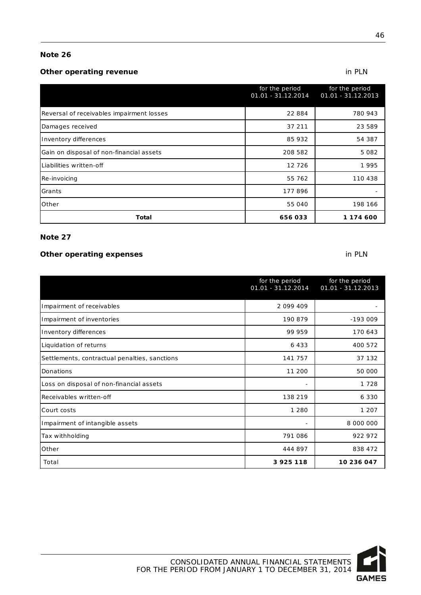#### **Other operating revenue in PLN**

|                                           | for the period<br>$01.01 - 31.12.2014$ | for the period<br>01.01 - 31.12.2013 |
|-------------------------------------------|----------------------------------------|--------------------------------------|
| Reversal of receivables impairment losses | 22 884                                 | 780 943                              |
| Damages received                          | 37 211                                 | 23 589                               |
| Inventory differences                     | 85 932                                 | 54 387                               |
| Gain on disposal of non-financial assets  | 208 582                                | 5 0 8 2                              |
| Liabilities written-off                   | 12 7 26                                | 1995                                 |
| Re-invoicing                              | 55 762                                 | 110 438                              |
| Grants                                    | 177896                                 |                                      |
| Other                                     | 55 040                                 | 198 166                              |
| <b>Total</b>                              | 656033                                 | 1 174 600                            |

#### **Note 27**

#### **Other operating expenses**

|                                               | for the period<br>01.01 - 31.12.2014 | for the period<br>$01.01 - 31.12.2013$ |
|-----------------------------------------------|--------------------------------------|----------------------------------------|
| Impairment of receivables                     | 2 099 409                            |                                        |
| Impairment of inventories                     | 190 879                              | $-193009$                              |
| Inventory differences                         | 99 959                               | 170 643                                |
| Liquidation of returns                        | 6433                                 | 400 572                                |
| Settlements, contractual penalties, sanctions | 141 757                              | 37 132                                 |
| Donations                                     | 11 200                               | 50 000                                 |
| Loss on disposal of non-financial assets      |                                      | 1728                                   |
| Receivables written-off                       | 138 219                              | 6 3 3 0                                |
| Court costs                                   | 1 2 8 0                              | 1 207                                  |
| Impairment of intangible assets               | -                                    | 8 000 000                              |
| Tax withholding                               | 791 086                              | 922 972                                |
| Other                                         | 444 897                              | 838 472                                |
| Total                                         | 3 925 118                            | 10 236 047                             |



46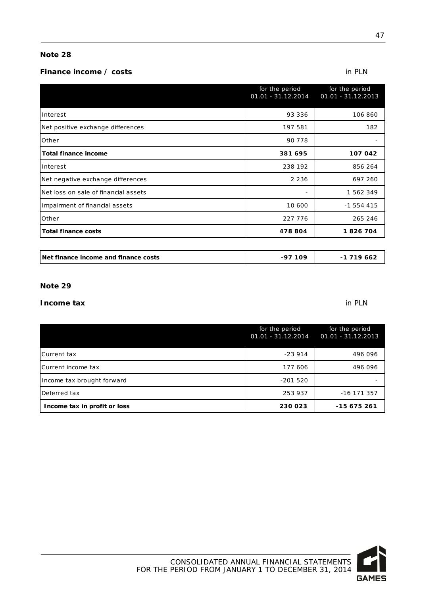#### **Finance income / costs** in PLN

|                                      | for the period<br>$01.01 - 31.12.2014$ | for the period<br>$01.01 - 31.12.2013$ |
|--------------------------------------|----------------------------------------|----------------------------------------|
| Interest                             | 93 336                                 | 106 860                                |
| Net positive exchange differences    | 197 581                                | 182                                    |
| Other                                | 90 7 78                                |                                        |
| <b>Total finance income</b>          | 381 695                                | 107 042                                |
| Interest                             | 238 192                                | 856 264                                |
| Net negative exchange differences    | 2 2 3 6                                | 697 260                                |
| Net loss on sale of financial assets |                                        | 1 562 349                              |
| Impairment of financial assets       | 10 600                                 | $-1554415$                             |
| Other                                | 227 776                                | 265 246                                |
| <b>Total finance costs</b>           | 478 804                                | 1826704                                |
|                                      |                                        |                                        |
| Net finance income and finance costs | $-97109$                               | $-1719662$                             |

#### **Note 29**

#### **Income tax** in PLN

|                              | for the period<br>$01.01 - 31.12.2014$ | for the period<br>$01.01 - 31.12.2013$ |
|------------------------------|----------------------------------------|----------------------------------------|
| Current tax                  | $-23914$                               | 496 096                                |
| Current income tax           | 177 606                                | 496 096                                |
| Income tax brought forward   | $-201520$                              |                                        |
| Deferred tax                 | 253 937                                | $-16$ 171 357                          |
| Income tax in profit or loss | 230 023                                | -15 675 261                            |

**GAMES**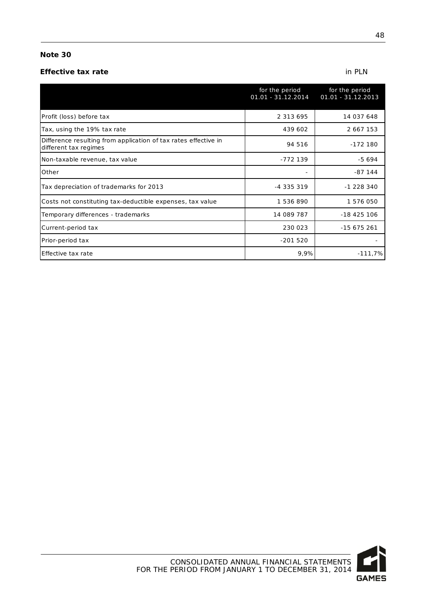#### **Effective tax rate** in PLN

|                                                                                          | for the period<br>01.01 - 31.12.2014 | for the period<br>01.01 - 31.12.2013 |
|------------------------------------------------------------------------------------------|--------------------------------------|--------------------------------------|
| Profit (loss) before tax                                                                 | 2 3 1 3 6 9 5                        | 14 037 648                           |
| Tax, using the 19% tax rate                                                              | 439 602                              | 2 667 153                            |
| Difference resulting from application of tax rates effective in<br>different tax regimes | 94 516                               | $-172180$                            |
| Non-taxable revenue, tax value                                                           | -772 139                             | $-5694$                              |
| Other                                                                                    |                                      | $-87$ 144                            |
| Tax depreciation of trademarks for 2013                                                  | $-4335319$                           | -1 228 340                           |
| Costs not constituting tax-deductible expenses, tax value                                | 1536890                              | 1 576 050                            |
| Temporary differences - trademarks                                                       | 14 089 787                           | $-18425106$                          |
| Current-period tax                                                                       | 230 023                              | $-15675261$                          |
| Prior-period tax                                                                         | $-201520$                            |                                      |
| Effective tax rate                                                                       | 9,9%                                 | $-111,7%$                            |

48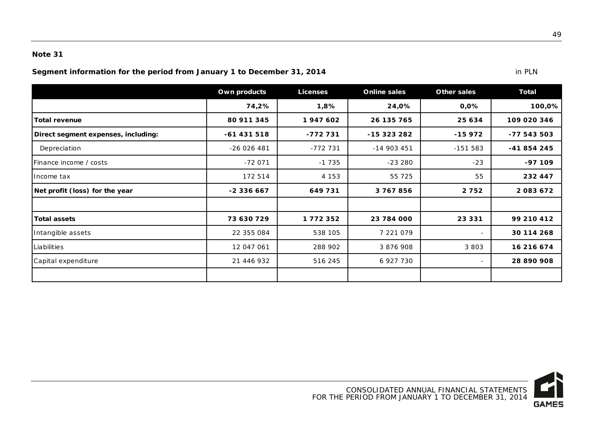**Segment information for the period from January 1 to December 31, 2014 in PLN** in PLN

|                                     | Own products | <b>Licenses</b> | <b>Online sales</b> | Other sales              | <b>Total</b> |
|-------------------------------------|--------------|-----------------|---------------------|--------------------------|--------------|
|                                     | 74,2%        | 1,8%            | 24,0%               | 0,0%                     | 100,0%       |
| <b>Total revenue</b>                | 80 911 345   | 1947602         | 26 135 765          | 25 634                   | 109 020 346  |
| Direct segment expenses, including: | $-61431518$  | -772 731        | -15 323 282         | $-15972$                 | -77 543 503  |
| Depreciation                        | $-26026481$  | -772 731        | $-14903451$         | $-151583$                | -41 854 245  |
| Finance income / costs              | $-72071$     | $-1735$         | $-23280$            | $-23$                    | $-97109$     |
| Ilncome tax                         | 172 514      | 4 153           | 55 725              | 55                       | 232 447      |
| Net profit (loss) for the year      | -2 336 667   | 649731          | 3767856             | 2752                     | 2083672      |
|                                     |              |                 |                     |                          |              |
| <b>Total assets</b>                 | 73 630 729   | 1772352         | 23 784 000          | 23 331                   | 99 210 412   |
| Intangible assets                   | 22 355 084   | 538 105         | 7 221 079           | $\blacksquare$           | 30 114 268   |
| Liabilities                         | 12 047 061   | 288 902         | 3 876 908           | 3 8 0 3                  | 16 216 674   |
| Capital expenditure                 | 21 446 932   | 516 245         | 6 927 730           | $\overline{\phantom{0}}$ | 28 890 908   |
|                                     |              |                 |                     |                          |              |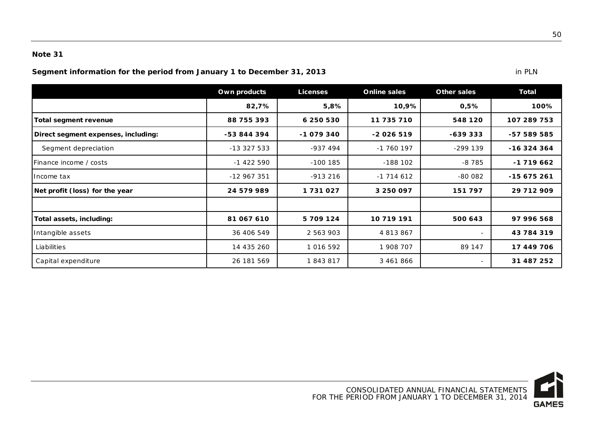**Segment information for the period from January 1 to December 31, 2013 in PLN** in PLN

|                                     | Own products | <b>Licenses</b> | <b>Online sales</b> | Other sales              | Total       |
|-------------------------------------|--------------|-----------------|---------------------|--------------------------|-------------|
|                                     | 82,7%        | 5,8%            | 10,9%               | 0,5%                     | 100%        |
| Total segment revenue               | 88 755 393   | 6 250 530       | 11 735 710          | 548 120                  | 107 289 753 |
| Direct segment expenses, including: | -53 844 394  | -1 079 340      | $-2026519$          | $-639333$                | -57 589 585 |
| Segment depreciation                | $-13327533$  | $-937494$       | -1 760 197          | $-299139$                | $-16324364$ |
| IFinance income / costs             | $-1422590$   | $-100$ 185      | $-188$ 102          | $-8785$                  | $-1719662$  |
| Income tax                          | $-12967351$  | $-913216$       | $-1$ 714 612        | $-80082$                 | $-15675261$ |
| Net profit (loss) for the year      | 24 579 989   | 1731027         | 3 250 097           | 151 797                  | 29 712 909  |
|                                     |              |                 |                     |                          |             |
| Total assets, including:            | 81 067 610   | 5 709 124       | 10 719 191          | 500 643                  | 97 996 568  |
| Intangible assets                   | 36 406 549   | 2 563 903       | 4 813 867           | ۰                        | 43 784 319  |
| Liabilities                         | 14 435 260   | 1 016 592       | 1 908 707           | 89 147                   | 17 449 706  |
| Capital expenditure                 | 26 181 569   | 1843817         | 3 461 866           | $\overline{\phantom{a}}$ | 31 487 252  |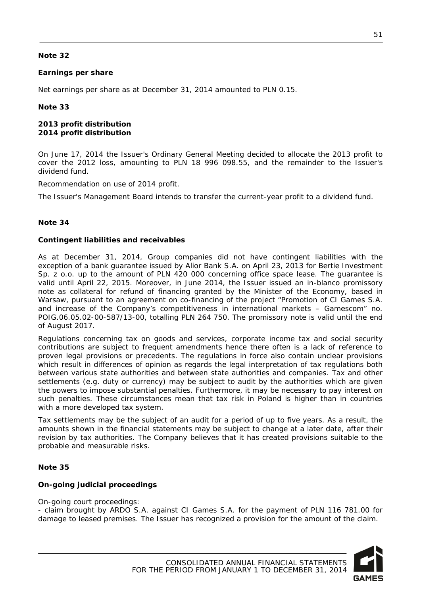#### **Earnings per share**

Net earnings per share as at December 31, 2014 amounted to PLN 0.15.

#### **Note 33**

#### **2013 profit distribution 2014 profit distribution**

On June 17, 2014 the Issuer's Ordinary General Meeting decided to allocate the 2013 profit to cover the 2012 loss, amounting to PLN 18 996 098.55, and the remainder to the Issuer's dividend fund.

Recommendation on use of 2014 profit.

The Issuer's Management Board intends to transfer the current-year profit to a dividend fund.

#### **Note 34**

#### **Contingent liabilities and receivables**

As at December 31, 2014, Group companies did not have contingent liabilities with the exception of a bank guarantee issued by Alior Bank S.A. on April 23, 2013 for Bertie Investment Sp. z o.o. up to the amount of PLN 420 000 concerning office space lease. The guarantee is valid until April 22, 2015. Moreover, in June 2014, the Issuer issued an in-blanco promissory note as collateral for refund of financing granted by the Minister of the Economy, based in Warsaw, pursuant to an agreement on co-financing of the project "Promotion of CI Games S.A. and increase of the Company's competitiveness in international markets – Gamescom" no. POIG.06.05.02-00-587/13-00, totalling PLN 264 750. The promissory note is valid until the end of August 2017.

Regulations concerning tax on goods and services, corporate income tax and social security contributions are subject to frequent amendments hence there often is a lack of reference to proven legal provisions or precedents. The regulations in force also contain unclear provisions which result in differences of opinion as regards the legal interpretation of tax regulations both between various state authorities and between state authorities and companies. Tax and other settlements (e.g. duty or currency) may be subject to audit by the authorities which are given the powers to impose substantial penalties. Furthermore, it may be necessary to pay interest on such penalties. These circumstances mean that tax risk in Poland is higher than in countries with a more developed tax system.

Tax settlements may be the subject of an audit for a period of up to five years. As a result, the amounts shown in the financial statements may be subject to change at a later date, after their revision by tax authorities. The Company believes that it has created provisions suitable to the probable and measurable risks.

#### **Note 35**

#### **On-going judicial proceedings**

On-going court proceedings:

- claim brought by ARDO S.A. against CI Games S.A. for the payment of PLN 116 781.00 for damage to leased premises. The Issuer has recognized a provision for the amount of the claim.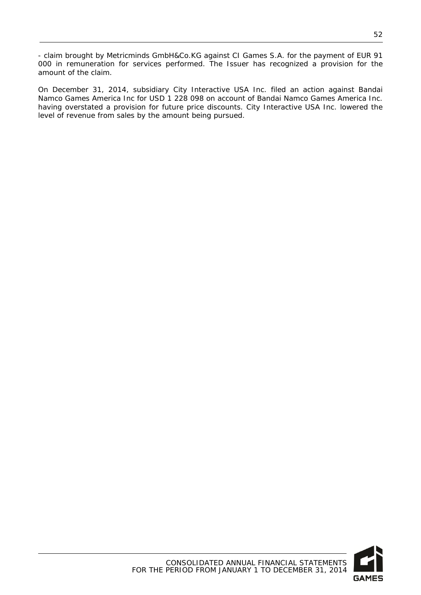- claim brought by Metricminds GmbH&Co.KG against CI Games S.A. for the payment of EUR 91 000 in remuneration for services performed. The Issuer has recognized a provision for the amount of the claim.

On December 31, 2014, subsidiary City Interactive USA Inc. filed an action against Bandai Namco Games America Inc for USD 1 228 098 on account of Bandai Namco Games America Inc. having overstated a provision for future price discounts. City Interactive USA Inc. lowered the level of revenue from sales by the amount being pursued.

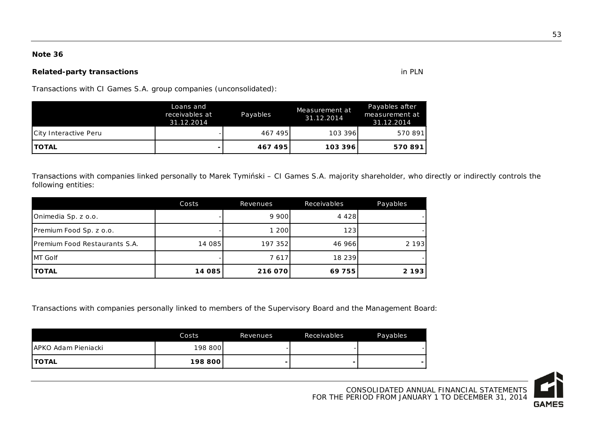#### **Related-party transactions** in PLN

Transactions with CI Games S.A. group companies (unconsolidated):

|                       | Loans and<br>receivables at<br>31.12.2014 | Payables | Measurement at<br>31.12.2014 | Payables after<br>measurement at<br>31.12.2014 |
|-----------------------|-------------------------------------------|----------|------------------------------|------------------------------------------------|
| City Interactive Peru |                                           | 467495   | 103 396                      | 570 891                                        |
| <b>ITOTAL</b>         |                                           | 467495   | 103 396                      | 570891                                         |

Transactions with companies linked personally to Marek Tymiński – CI Games S.A. majority shareholder, who directly or indirectly controls the following entities:

|                                       | Costs  | Revenues | Receivables | Payables |
|---------------------------------------|--------|----------|-------------|----------|
| Onimedia Sp. z o.o.                   |        | 9 900    | 4 4 2 8 1   |          |
| Premium Food Sp. z o.o.               |        | 1 200    | 123         |          |
| <b>IPremium Food Restaurants S.A.</b> | 14 085 | 197 352l | 46 966      | 2 1 9 3  |
| MT Golf                               |        | 7617     | 18 239      |          |
| <b>TOTAL</b>                          | 14 085 | 216 070  | 69755       | 2 1 9 3  |

Transactions with companies personally linked to members of the Supervisory Board and the Management Board:

|                      | Costs   | Revenues | Receivables | Payables |
|----------------------|---------|----------|-------------|----------|
| JAPKO Adam Pieniacki | 198 800 |          |             |          |
| <b>TOTAL</b>         | 198 800 |          |             |          |

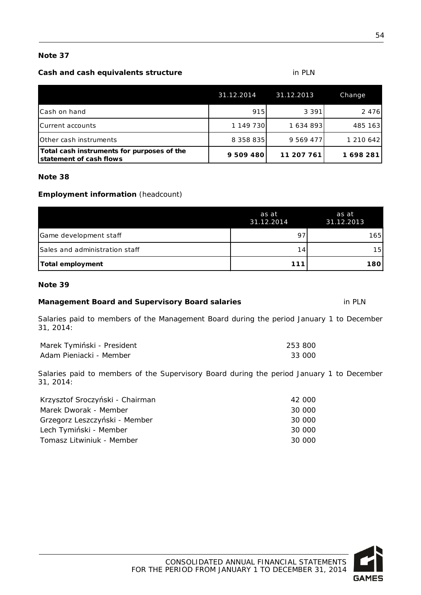#### **Cash and cash equivalents structure** in PLN

|                                                                       | 31.12.2014 | 31.12.2013 | Change    |
|-----------------------------------------------------------------------|------------|------------|-----------|
| ICash on hand                                                         | 915        | 3 3 9 1    | 2 4 7 6   |
| Current accounts                                                      | 1 149 730  | 1 634 893  | 485 163   |
| <b>Other cash instruments</b>                                         | 8 358 835  | 9 569 477  | 1 210 642 |
| Total cash instruments for purposes of the<br>statement of cash flows | 9 509 480  | 11 207 761 | 1698281   |

#### **Note 38**

#### **Employment information** (headcount)

| Total employment               | 111                 | 180                 |
|--------------------------------|---------------------|---------------------|
| Sales and administration staff | 14.                 | 15 <sup>1</sup>     |
| Game development staff         | 97                  | 165                 |
|                                | as at<br>31.12.2014 | as at<br>31.12.2013 |

#### **Note 39**

#### **Management Board and Supervisory Board salaries** in PLN

Salaries paid to members of the Management Board during the period January 1 to December 31, 2014:

| Marek Tymiński - President | 253 800 |
|----------------------------|---------|
| Adam Pieniacki - Member    | 33 000  |

Salaries paid to members of the Supervisory Board during the period January 1 to December 31, 2014:

| Krzysztof Sroczyński - Chairman | 42 000 |
|---------------------------------|--------|
| Marek Dworak - Member           | 30 000 |
| Grzegorz Leszczyński - Member   | 30 000 |
| Lech Tymiński - Member          | 30 000 |
| Tomasz Litwiniuk - Member       | 30 000 |

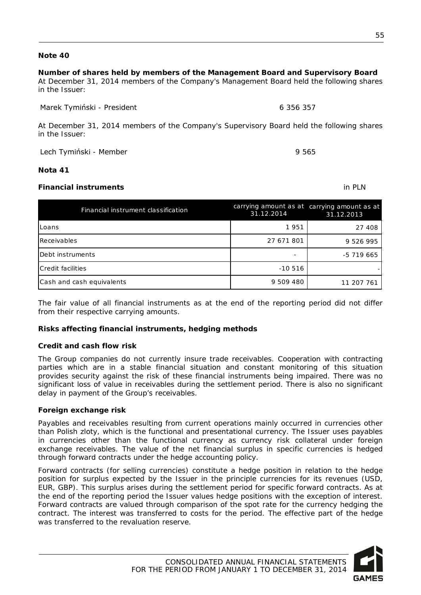## **Number of shares held by members of the Management Board and Supervisory Board**

At December 31, 2014 members of the Company's Management Board held the following shares in the Issuer:

Marek Tymiński - President 6 356 357

At December 31, 2014 members of the Company's Supervisory Board held the following shares in the Issuer:

Lech Tymiński - Member 9 565

#### **Nota 41**

#### **Financial instruments** in PLN

| Financial instrument classification | 31.12.2014 | carrying amount as at carrying amount as at<br>31.12.2013 |
|-------------------------------------|------------|-----------------------------------------------------------|
| ILoans                              | 1951       | 27 408                                                    |
| Receivables                         | 27 671 801 | 9 526 995                                                 |
| Debt instruments                    |            | $-5719665$                                                |
| Credit facilities                   | $-10516$   |                                                           |
| Cash and cash equivalents           | 9 509 480  | 11 207 761                                                |

The fair value of all financial instruments as at the end of the reporting period did not differ from their respective carrying amounts.

#### **Risks affecting financial instruments, hedging methods**

#### **Credit and cash flow risk**

The Group companies do not currently insure trade receivables. Cooperation with contracting parties which are in a stable financial situation and constant monitoring of this situation provides security against the risk of these financial instruments being impaired. There was no significant loss of value in receivables during the settlement period. There is also no significant delay in payment of the Group's receivables.

#### **Foreign exchange risk**

Payables and receivables resulting from current operations mainly occurred in currencies other than Polish zloty, which is the functional and presentational currency. The Issuer uses payables in currencies other than the functional currency as currency risk collateral under foreign exchange receivables. The value of the net financial surplus in specific currencies is hedged through forward contracts under the hedge accounting policy.

Forward contracts (for selling currencies) constitute a hedge position in relation to the hedge position for surplus expected by the Issuer in the principle currencies for its revenues (USD, EUR, GBP). This surplus arises during the settlement period for specific forward contracts. As at the end of the reporting period the Issuer values hedge positions with the exception of interest. Forward contracts are valued through comparison of the spot rate for the currency hedging the contract. The interest was transferred to costs for the period. The effective part of the hedge was transferred to the revaluation reserve.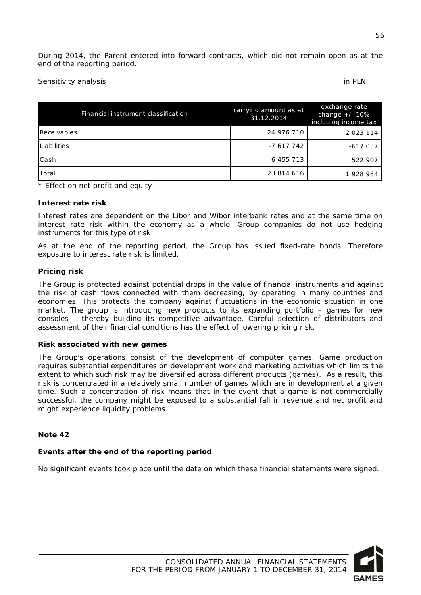During 2014, the Parent entered into forward contracts, which did not remain open as at the end of the reporting period.

Sensitivity analysis

| Financial instrument classification | carrying amount as at<br>31.12.2014 | exchange rate<br>change $+/- 10\%$<br>including income tax |
|-------------------------------------|-------------------------------------|------------------------------------------------------------|
| Receivables                         | 24 976 710                          | 2 0 2 3 1 1 4                                              |
| <b>Liabilities</b>                  | -7 617 742                          | $-617037$                                                  |
| lCash                               | 6 455 713                           | 522 907                                                    |
| Total                               | 23 814 616                          | 1928984                                                    |

\* Effect on net profit and equity

#### **Interest rate risk**

Interest rates are dependent on the Libor and Wibor interbank rates and at the same time on interest rate risk within the economy as a whole. Group companies do not use hedging instruments for this type of risk.

As at the end of the reporting period, the Group has issued fixed-rate bonds. Therefore exposure to interest rate risk is limited.

#### **Pricing risk**

The Group is protected against potential drops in the value of financial instruments and against the risk of cash flows connected with them decreasing, by operating in many countries and economies. This protects the company against fluctuations in the economic situation in one market. The group is introducing new products to its expanding portfolio – games for new consoles – thereby building its competitive advantage. Careful selection of distributors and assessment of their financial conditions has the effect of lowering pricing risk.

#### **Risk associated with new games**

The Group's operations consist of the development of computer games. Game production requires substantial expenditures on development work and marketing activities which limits the extent to which such risk may be diversified across different products (games). As a result, this risk is concentrated in a relatively small number of games which are in development at a given time. Such a concentration of risk means that in the event that a game is not commercially successful, the company might be exposed to a substantial fall in revenue and net profit and might experience liquidity problems.

#### **Note 42**

#### **Events after the end of the reporting period**

No significant events took place until the date on which these financial statements were signed.